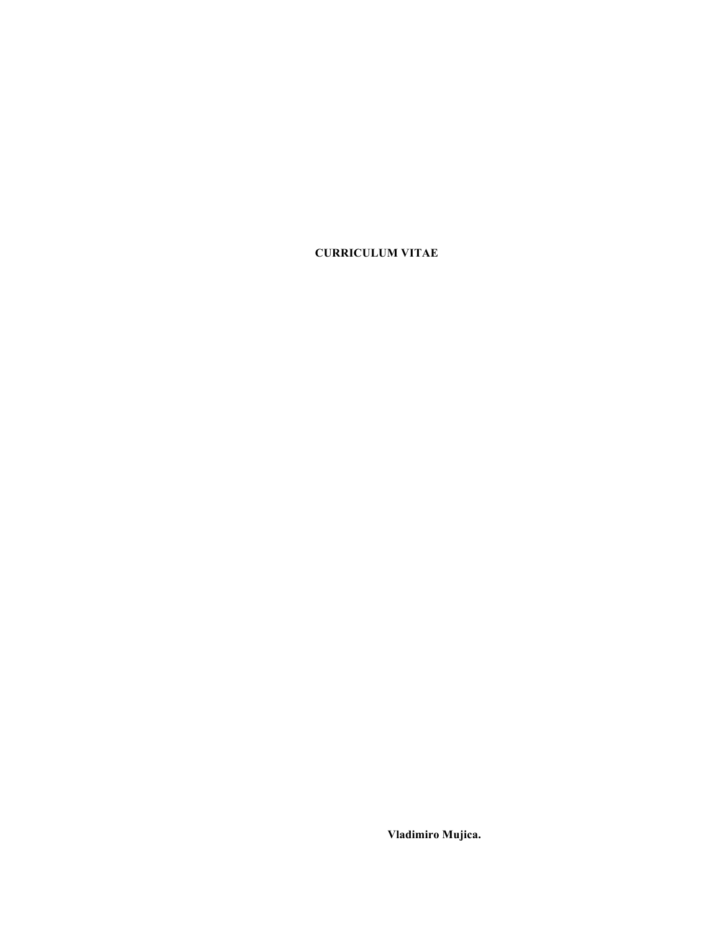**CURRICULUM VITAE**

**Vladimiro Mujica.**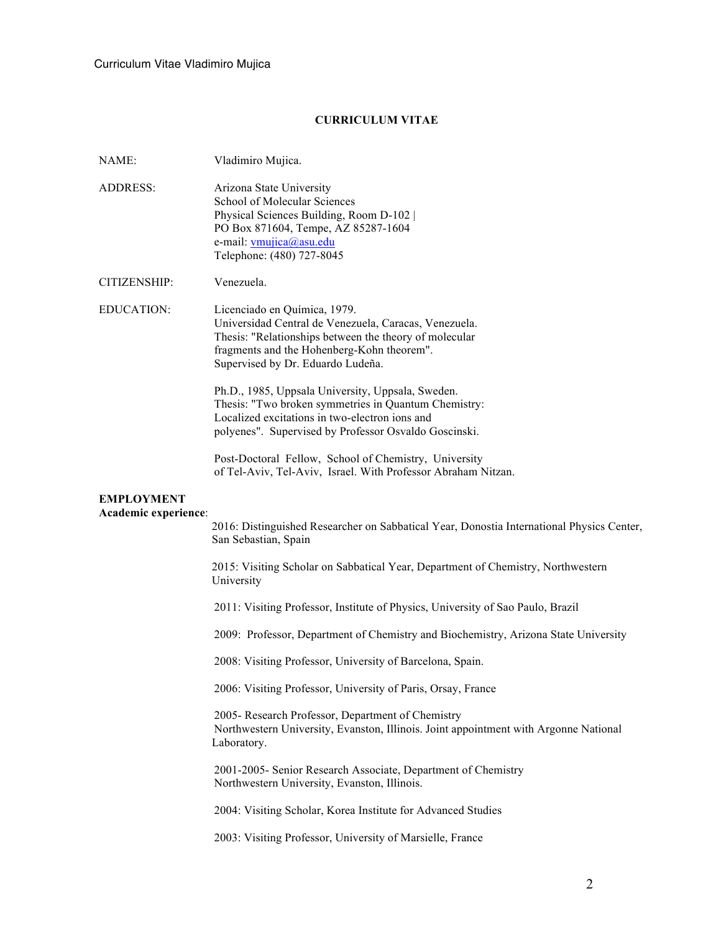# **CURRICULUM VITAE**

| NAME:                                     | Vladimiro Mujica.                                                                                                 |
|-------------------------------------------|-------------------------------------------------------------------------------------------------------------------|
| <b>ADDRESS:</b>                           | Arizona State University<br>School of Molecular Sciences                                                          |
|                                           | Physical Sciences Building, Room D-102                                                                            |
|                                           | PO Box 871604, Tempe, AZ 85287-1604<br>e-mail: vmujica@asu.edu                                                    |
|                                           | Telephone: (480) 727-8045                                                                                         |
| CITIZENSHIP:                              | Venezuela.                                                                                                        |
| <b>EDUCATION:</b>                         | Licenciado en Química, 1979.                                                                                      |
|                                           | Universidad Central de Venezuela, Caracas, Venezuela.<br>Thesis: "Relationships between the theory of molecular   |
|                                           | fragments and the Hohenberg-Kohn theorem".                                                                        |
|                                           | Supervised by Dr. Eduardo Ludeña.                                                                                 |
|                                           | Ph.D., 1985, Uppsala University, Uppsala, Sweden.                                                                 |
|                                           | Thesis: "Two broken symmetries in Quantum Chemistry:<br>Localized excitations in two-electron ions and            |
|                                           | polyenes". Supervised by Professor Osvaldo Goscinski.                                                             |
|                                           | Post-Doctoral Fellow, School of Chemistry, University                                                             |
|                                           | of Tel-Aviv, Tel-Aviv, Israel. With Professor Abraham Nitzan.                                                     |
| <b>EMPLOYMENT</b><br>Academic experience: |                                                                                                                   |
|                                           | 2016: Distinguished Researcher on Sabbatical Year, Donostia International Physics Center,<br>San Sebastian, Spain |
|                                           | 2015: Visiting Scholar on Sabbatical Year, Department of Chemistry, Northwestern<br>University                    |
|                                           | 2011: Visiting Professor, Institute of Physics, University of Sao Paulo, Brazil                                   |
|                                           | 2009: Professor, Department of Chemistry and Biochemistry, Arizona State University                               |
|                                           | 2008: Visiting Professor, University of Barcelona, Spain.                                                         |
|                                           | 2006: Visiting Professor, University of Paris, Orsay, France                                                      |
|                                           | 2005- Research Professor, Department of Chemistry                                                                 |
|                                           | Northwestern University, Evanston, Illinois. Joint appointment with Argonne National<br>Laboratory.               |
|                                           | 2001-2005- Senior Research Associate, Department of Chemistry<br>Northwestern University, Evanston, Illinois.     |
|                                           | 2004: Visiting Scholar, Korea Institute for Advanced Studies                                                      |
|                                           | 2003: Visiting Professor, University of Marsielle, France                                                         |
|                                           |                                                                                                                   |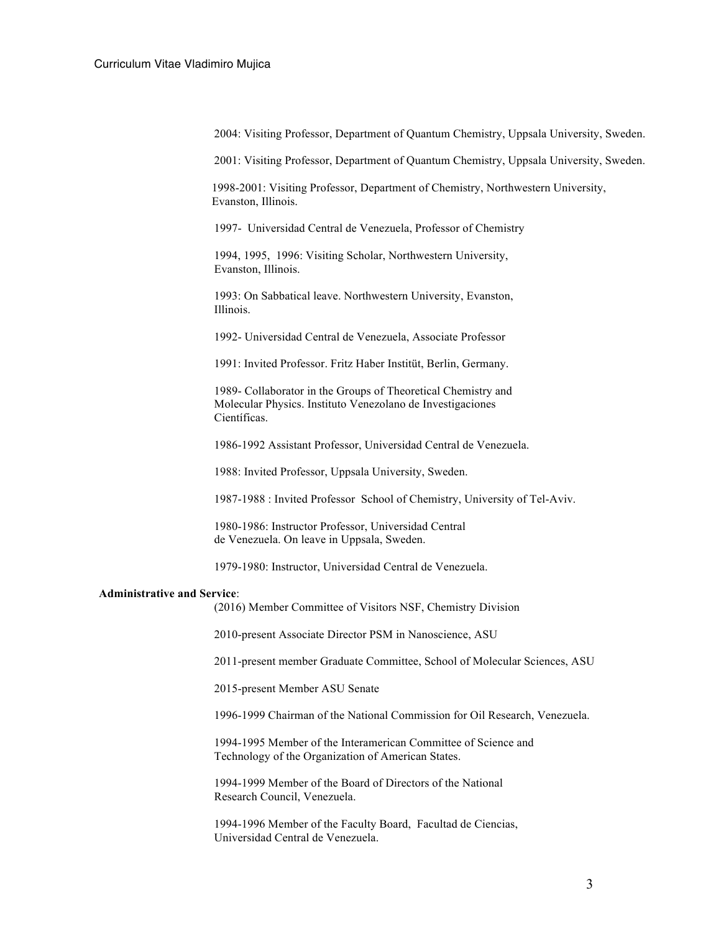2004: Visiting Professor, Department of Quantum Chemistry, Uppsala University, Sweden.

2001: Visiting Professor, Department of Quantum Chemistry, Uppsala University, Sweden.

1998-2001: Visiting Professor, Department of Chemistry, Northwestern University, Evanston, Illinois.

1997- Universidad Central de Venezuela, Professor of Chemistry

1994, 1995, 1996: Visiting Scholar, Northwestern University, Evanston, Illinois.

1993: On Sabbatical leave. Northwestern University, Evanston, Illinois.

1992- Universidad Central de Venezuela, Associate Professor

1991: Invited Professor. Fritz Haber Institüt, Berlin, Germany.

1989- Collaborator in the Groups of Theoretical Chemistry and Molecular Physics. Instituto Venezolano de Investigaciones Científicas.

1986-1992 Assistant Professor, Universidad Central de Venezuela.

1988: Invited Professor, Uppsala University, Sweden.

1987-1988 : Invited Professor School of Chemistry, University of Tel-Aviv.

1980-1986: Instructor Professor, Universidad Central de Venezuela. On leave in Uppsala, Sweden.

1979-1980: Instructor, Universidad Central de Venezuela.

#### **Administrative and Service**:

(2016) Member Committee of Visitors NSF, Chemistry Division

2010-present Associate Director PSM in Nanoscience, ASU

2011-present member Graduate Committee, School of Molecular Sciences, ASU

2015-present Member ASU Senate

1996-1999 Chairman of the National Commission for Oil Research, Venezuela.

1994-1995 Member of the Interamerican Committee of Science and Technology of the Organization of American States.

1994-1999 Member of the Board of Directors of the National Research Council, Venezuela.

1994-1996 Member of the Faculty Board, Facultad de Ciencias, Universidad Central de Venezuela.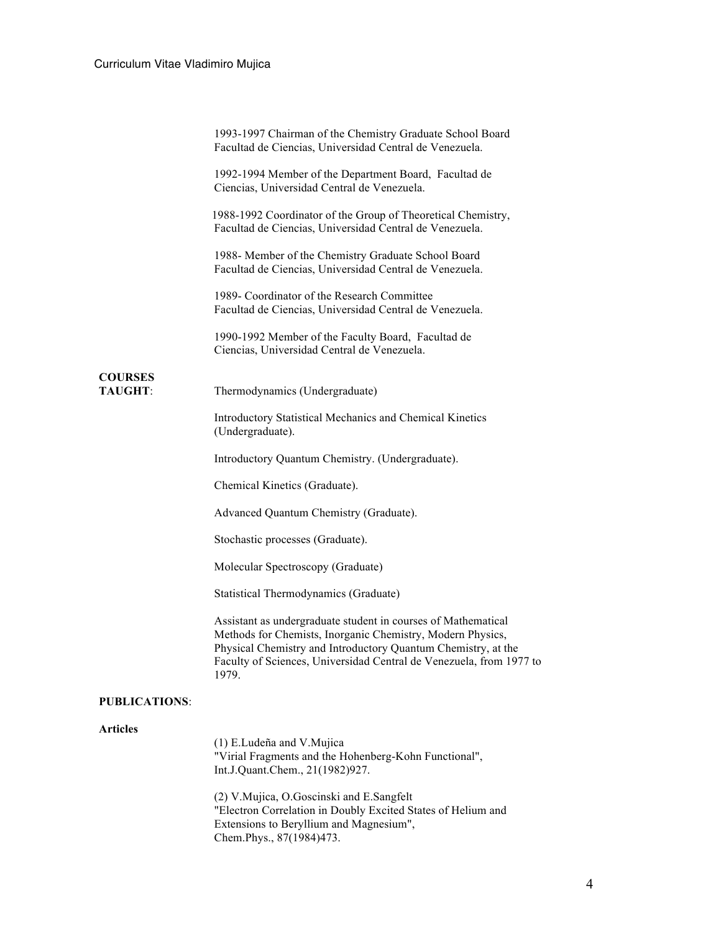|                                  | 1993-1997 Chairman of the Chemistry Graduate School Board<br>Facultad de Ciencias, Universidad Central de Venezuela.                                                                                                                                                         |
|----------------------------------|------------------------------------------------------------------------------------------------------------------------------------------------------------------------------------------------------------------------------------------------------------------------------|
|                                  | 1992-1994 Member of the Department Board, Facultad de<br>Ciencias, Universidad Central de Venezuela.                                                                                                                                                                         |
|                                  | 1988-1992 Coordinator of the Group of Theoretical Chemistry,<br>Facultad de Ciencias, Universidad Central de Venezuela.                                                                                                                                                      |
|                                  | 1988- Member of the Chemistry Graduate School Board<br>Facultad de Ciencias, Universidad Central de Venezuela.                                                                                                                                                               |
|                                  | 1989- Coordinator of the Research Committee<br>Facultad de Ciencias, Universidad Central de Venezuela.                                                                                                                                                                       |
|                                  | 1990-1992 Member of the Faculty Board, Facultad de<br>Ciencias, Universidad Central de Venezuela.                                                                                                                                                                            |
| <b>COURSES</b><br><b>TAUGHT:</b> | Thermodynamics (Undergraduate)                                                                                                                                                                                                                                               |
|                                  |                                                                                                                                                                                                                                                                              |
|                                  | Introductory Statistical Mechanics and Chemical Kinetics<br>(Undergraduate).                                                                                                                                                                                                 |
|                                  | Introductory Quantum Chemistry. (Undergraduate).                                                                                                                                                                                                                             |
|                                  | Chemical Kinetics (Graduate).                                                                                                                                                                                                                                                |
|                                  | Advanced Quantum Chemistry (Graduate).                                                                                                                                                                                                                                       |
|                                  | Stochastic processes (Graduate).                                                                                                                                                                                                                                             |
|                                  | Molecular Spectroscopy (Graduate)                                                                                                                                                                                                                                            |
|                                  | <b>Statistical Thermodynamics (Graduate)</b>                                                                                                                                                                                                                                 |
|                                  | Assistant as undergraduate student in courses of Mathematical<br>Methods for Chemists, Inorganic Chemistry, Modern Physics,<br>Physical Chemistry and Introductory Quantum Chemistry, at the<br>Faculty of Sciences, Universidad Central de Venezuela, from 1977 to<br>1979. |
| <b>PUBLICATIONS:</b>             |                                                                                                                                                                                                                                                                              |
| <b>Articles</b>                  | (1) E.Ludeña and V.Mujica<br>"Virial Fragments and the Hohenberg-Kohn Functional",<br>Int.J.Quant.Chem., 21(1982)927.                                                                                                                                                        |
|                                  |                                                                                                                                                                                                                                                                              |

(2) V.Mujica, O.Goscinski and E.Sangfelt "Electron Correlation in Doubly Excited States of Helium and Extensions to Beryllium and Magnesium", Chem.Phys., 87(1984)473.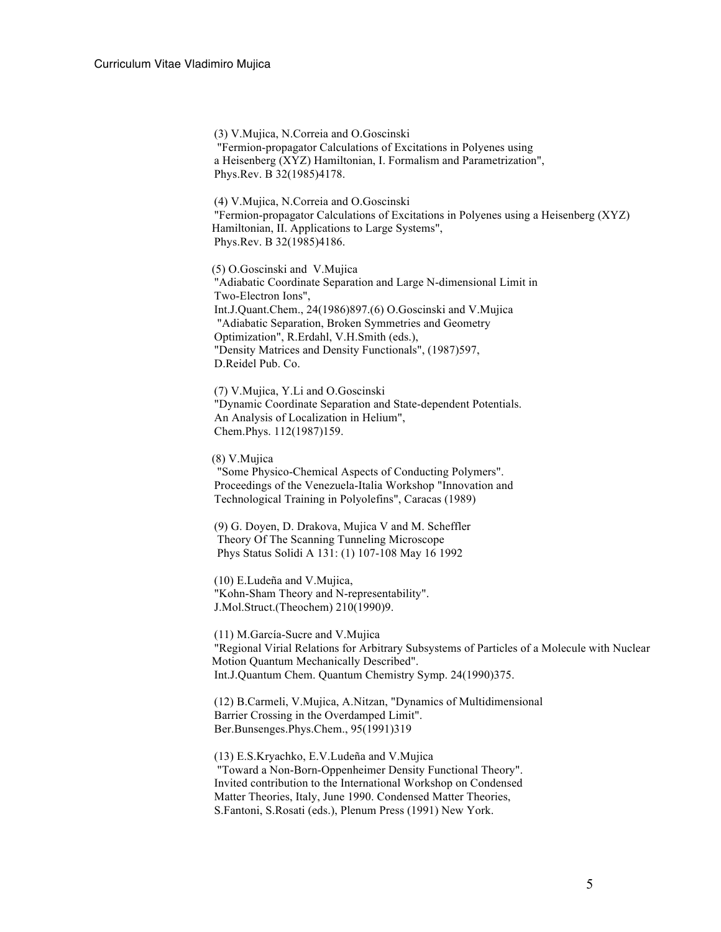(3) V.Mujica, N.Correia and O.Goscinski "Fermion-propagator Calculations of Excitations in Polyenes using a Heisenberg (XYZ) Hamiltonian, I. Formalism and Parametrization", Phys.Rev. B 32(1985)4178.

(4) V.Mujica, N.Correia and O.Goscinski "Fermion-propagator Calculations of Excitations in Polyenes using a Heisenberg (XYZ) Hamiltonian, II. Applications to Large Systems", Phys.Rev. B 32(1985)4186.

(5) O.Goscinski and V.Mujica "Adiabatic Coordinate Separation and Large N-dimensional Limit in Two-Electron Ions", Int.J.Quant.Chem., 24(1986)897.(6) O.Goscinski and V.Mujica "Adiabatic Separation, Broken Symmetries and Geometry Optimization", R.Erdahl, V.H.Smith (eds.), "Density Matrices and Density Functionals", (1987)597, D.Reidel Pub. Co.

(7) V.Mujica, Y.Li and O.Goscinski "Dynamic Coordinate Separation and State-dependent Potentials. An Analysis of Localization in Helium", Chem.Phys. 112(1987)159.

(8) V.Mujica

"Some Physico-Chemical Aspects of Conducting Polymers". Proceedings of the Venezuela-Italia Workshop "Innovation and Technological Training in Polyolefins", Caracas (1989)

(9) G. Doyen, D. Drakova, Mujica V and M. Scheffler Theory Of The Scanning Tunneling Microscope Phys Status Solidi A 131: (1) 107-108 May 16 1992

(10) E.Ludeña and V.Mujica, "Kohn-Sham Theory and N-representability". J.Mol.Struct.(Theochem) 210(1990)9.

(11) M.García-Sucre and V.Mujica "Regional Virial Relations for Arbitrary Subsystems of Particles of a Molecule with Nuclear Motion Quantum Mechanically Described". Int.J.Quantum Chem. Quantum Chemistry Symp. 24(1990)375.

(12) B.Carmeli, V.Mujica, A.Nitzan, "Dynamics of Multidimensional Barrier Crossing in the Overdamped Limit". Ber.Bunsenges.Phys.Chem., 95(1991)319

(13) E.S.Kryachko, E.V.Ludeña and V.Mujica "Toward a Non-Born-Oppenheimer Density Functional Theory". Invited contribution to the International Workshop on Condensed Matter Theories, Italy, June 1990. Condensed Matter Theories, S.Fantoni, S.Rosati (eds.), Plenum Press (1991) New York.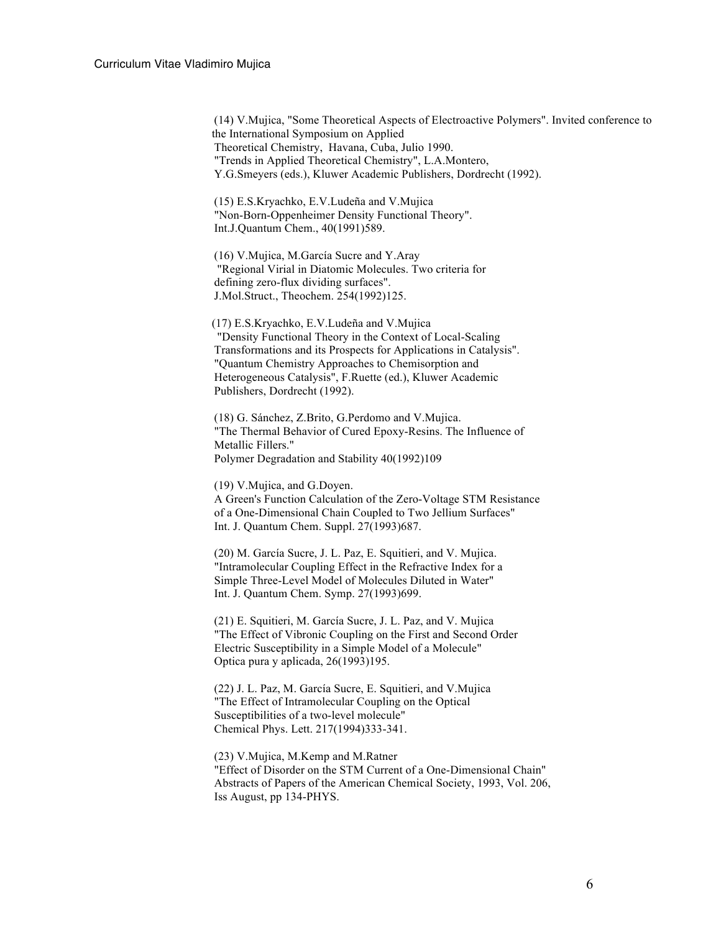(14) V.Mujica, "Some Theoretical Aspects of Electroactive Polymers". Invited conference to the International Symposium on Applied Theoretical Chemistry, Havana, Cuba, Julio 1990. "Trends in Applied Theoretical Chemistry", L.A.Montero, Y.G.Smeyers (eds.), Kluwer Academic Publishers, Dordrecht (1992).

(15) E.S.Kryachko, E.V.Ludeña and V.Mujica "Non-Born-Oppenheimer Density Functional Theory". Int.J.Quantum Chem., 40(1991)589.

(16) V.Mujica, M.García Sucre and Y.Aray "Regional Virial in Diatomic Molecules. Two criteria for defining zero-flux dividing surfaces". J.Mol.Struct., Theochem. 254(1992)125.

(17) E.S.Kryachko, E.V.Ludeña and V.Mujica "Density Functional Theory in the Context of Local-Scaling Transformations and its Prospects for Applications in Catalysis". "Quantum Chemistry Approaches to Chemisorption and Heterogeneous Catalysis", F.Ruette (ed.), Kluwer Academic Publishers, Dordrecht (1992).

(18) G. Sánchez, Z.Brito, G.Perdomo and V.Mujica. "The Thermal Behavior of Cured Epoxy-Resins. The Influence of Metallic Fillers." Polymer Degradation and Stability 40(1992)109

(19) V.Mujica, and G.Doyen. A Green's Function Calculation of the Zero-Voltage STM Resistance of a One-Dimensional Chain Coupled to Two Jellium Surfaces" Int. J. Quantum Chem. Suppl. 27(1993)687.

(20) M. García Sucre, J. L. Paz, E. Squitieri, and V. Mujica. "Intramolecular Coupling Effect in the Refractive Index for a Simple Three-Level Model of Molecules Diluted in Water" Int. J. Quantum Chem. Symp. 27(1993)699.

(21) E. Squitieri, M. García Sucre, J. L. Paz, and V. Mujica "The Effect of Vibronic Coupling on the First and Second Order Electric Susceptibility in a Simple Model of a Molecule" Optica pura y aplicada, 26(1993)195.

(22) J. L. Paz, M. García Sucre, E. Squitieri, and V.Mujica "The Effect of Intramolecular Coupling on the Optical Susceptibilities of a two-level molecule" Chemical Phys. Lett. 217(1994)333-341.

(23) V.Mujica, M.Kemp and M.Ratner "Effect of Disorder on the STM Current of a One-Dimensional Chain" Abstracts of Papers of the American Chemical Society, 1993, Vol. 206, Iss August, pp 134-PHYS.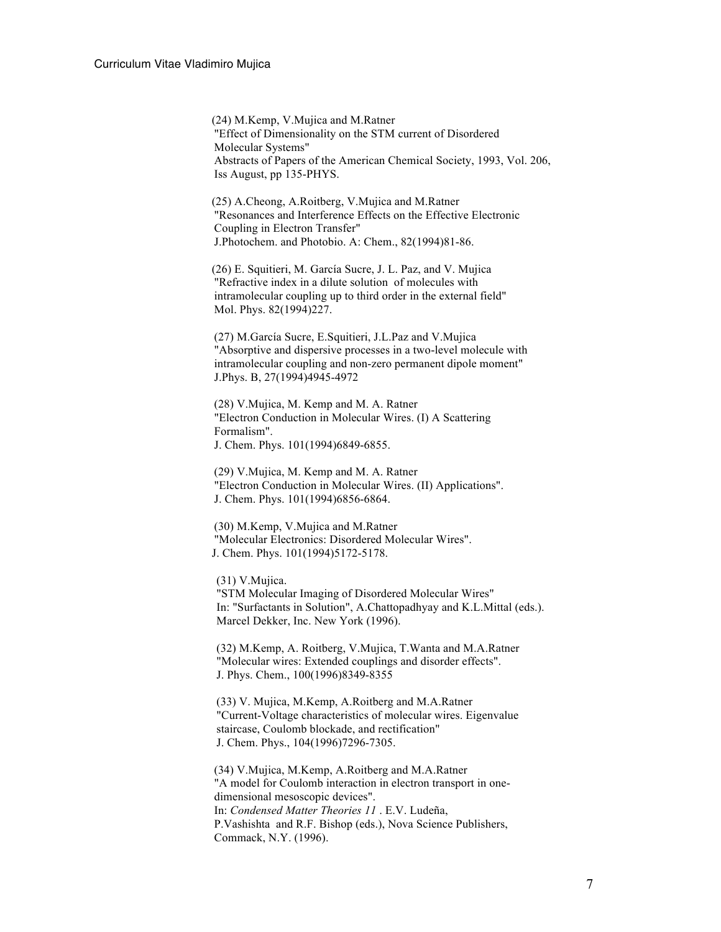(24) M.Kemp, V.Mujica and M.Ratner "Effect of Dimensionality on the STM current of Disordered Molecular Systems" Abstracts of Papers of the American Chemical Society, 1993, Vol. 206, Iss August, pp 135-PHYS.

(25) A.Cheong, A.Roitberg, V.Mujica and M.Ratner "Resonances and Interference Effects on the Effective Electronic Coupling in Electron Transfer" J.Photochem. and Photobio. A: Chem., 82(1994)81-86.

(26) E. Squitieri, M. García Sucre, J. L. Paz, and V. Mujica "Refractive index in a dilute solution of molecules with intramolecular coupling up to third order in the external field" Mol. Phys. 82(1994)227.

(27) M.García Sucre, E.Squitieri, J.L.Paz and V.Mujica "Absorptive and dispersive processes in a two-level molecule with intramolecular coupling and non-zero permanent dipole moment" J.Phys. B, 27(1994)4945-4972

(28) V.Mujica, M. Kemp and M. A. Ratner "Electron Conduction in Molecular Wires. (I) A Scattering Formalism". J. Chem. Phys. 101(1994)6849-6855.

(29) V.Mujica, M. Kemp and M. A. Ratner "Electron Conduction in Molecular Wires. (II) Applications". J. Chem. Phys. 101(1994)6856-6864.

(30) M.Kemp, V.Mujica and M.Ratner "Molecular Electronics: Disordered Molecular Wires". J. Chem. Phys. 101(1994)5172-5178.

(31) V.Mujica.

"STM Molecular Imaging of Disordered Molecular Wires" In: "Surfactants in Solution", A.Chattopadhyay and K.L.Mittal (eds.). Marcel Dekker, Inc. New York (1996).

(32) M.Kemp, A. Roitberg, V.Mujica, T.Wanta and M.A.Ratner "Molecular wires: Extended couplings and disorder effects". J. Phys. Chem., 100(1996)8349-8355

(33) V. Mujica, M.Kemp, A.Roitberg and M.A.Ratner "Current-Voltage characteristics of molecular wires. Eigenvalue staircase, Coulomb blockade, and rectification" J. Chem. Phys., 104(1996)7296-7305.

(34) V.Mujica, M.Kemp, A.Roitberg and M.A.Ratner "A model for Coulomb interaction in electron transport in onedimensional mesoscopic devices". In: *Condensed Matter Theories 11* . E.V. Ludeña, P.Vashishta and R.F. Bishop (eds.), Nova Science Publishers, Commack, N.Y. (1996).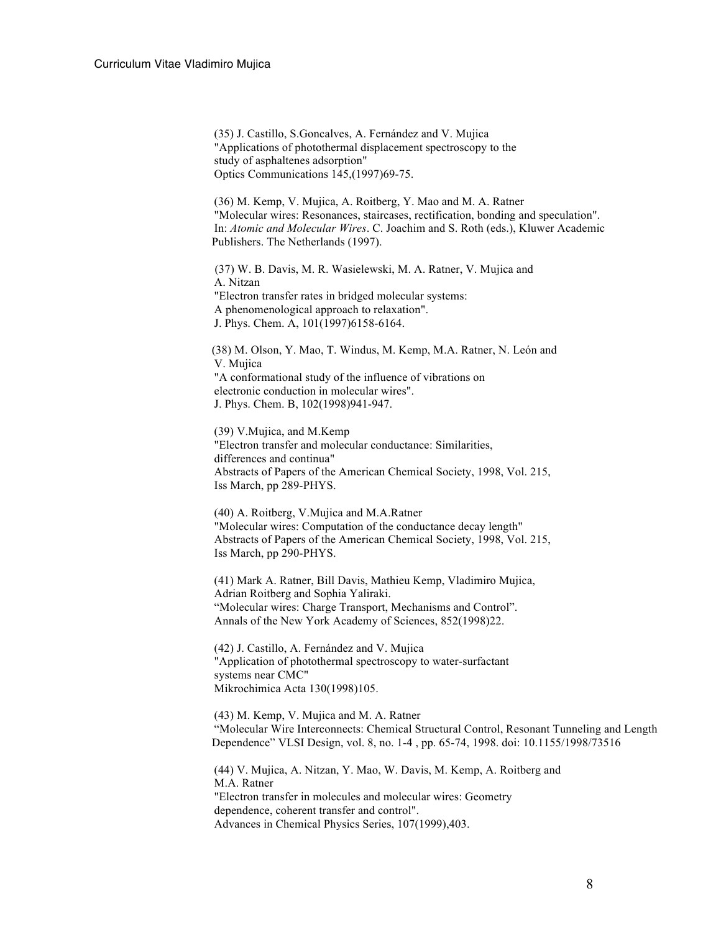(35) J. Castillo, S.Goncalves, A. Fernández and V. Mujica "Applications of photothermal displacement spectroscopy to the study of asphaltenes adsorption" Optics Communications 145,(1997)69-75.

(36) M. Kemp, V. Mujica, A. Roitberg, Y. Mao and M. A. Ratner "Molecular wires: Resonances, staircases, rectification, bonding and speculation". In: *Atomic and Molecular Wires*. C. Joachim and S. Roth (eds.), Kluwer Academic Publishers. The Netherlands (1997).

(37) W. B. Davis, M. R. Wasielewski, M. A. Ratner, V. Mujica and A. Nitzan "Electron transfer rates in bridged molecular systems: A phenomenological approach to relaxation". J. Phys. Chem. A, 101(1997)6158-6164.

(38) M. Olson, Y. Mao, T. Windus, M. Kemp, M.A. Ratner, N. León and V. Mujica "A conformational study of the influence of vibrations on electronic conduction in molecular wires". J. Phys. Chem. B, 102(1998)941-947.

(39) V.Mujica, and M.Kemp "Electron transfer and molecular conductance: Similarities, differences and continua" Abstracts of Papers of the American Chemical Society, 1998, Vol. 215, Iss March, pp 289-PHYS.

(40) A. Roitberg, V.Mujica and M.A.Ratner "Molecular wires: Computation of the conductance decay length" Abstracts of Papers of the American Chemical Society, 1998, Vol. 215, Iss March, pp 290-PHYS.

(41) Mark A. Ratner, Bill Davis, Mathieu Kemp, Vladimiro Mujica, Adrian Roitberg and Sophia Yaliraki. "Molecular wires: Charge Transport, Mechanisms and Control". Annals of the New York Academy of Sciences, 852(1998)22.

(42) J. Castillo, A. Fernández and V. Mujica "Application of photothermal spectroscopy to water-surfactant systems near CMC" Mikrochimica Acta 130(1998)105.

(43) M. Kemp, V. Mujica and M. A. Ratner "Molecular Wire Interconnects: Chemical Structural Control, Resonant Tunneling and Length Dependence" VLSI Design, vol. 8, no. 1-4 , pp. 65-74, 1998. doi: 10.1155/1998/73516

(44) V. Mujica, A. Nitzan, Y. Mao, W. Davis, M. Kemp, A. Roitberg and M.A. Ratner "Electron transfer in molecules and molecular wires: Geometry dependence, coherent transfer and control". Advances in Chemical Physics Series, 107(1999),403.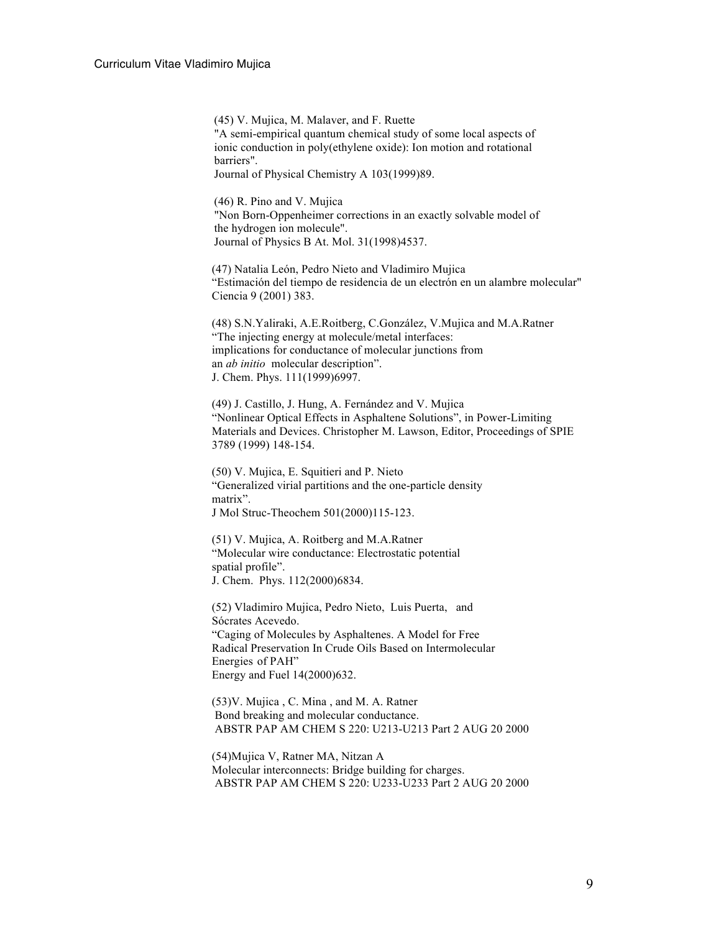(45) V. Mujica, M. Malaver, and F. Ruette "A semi-empirical quantum chemical study of some local aspects of ionic conduction in poly(ethylene oxide): Ion motion and rotational barriers".

Journal of Physical Chemistry A 103(1999)89.

(46) R. Pino and V. Mujica "Non Born-Oppenheimer corrections in an exactly solvable model of the hydrogen ion molecule". Journal of Physics B At. Mol. 31(1998)4537.

(47) Natalia León, Pedro Nieto and Vladimiro Mujica "Estimación del tiempo de residencia de un electrón en un alambre molecular" Ciencia 9 (2001) 383.

(48) S.N.Yaliraki, A.E.Roitberg, C.González, V.Mujica and M.A.Ratner "The injecting energy at molecule/metal interfaces: implications for conductance of molecular junctions from an *ab initio* molecular description". J. Chem. Phys. 111(1999)6997.

(49) J. Castillo, J. Hung, A. Fernández and V. Mujica "Nonlinear Optical Effects in Asphaltene Solutions", in Power-Limiting Materials and Devices. Christopher M. Lawson, Editor, Proceedings of SPIE 3789 (1999) 148-154.

(50) V. Mujica, E. Squitieri and P. Nieto "Generalized virial partitions and the one-particle density matrix". J Mol Struc-Theochem 501(2000)115-123.

(51) V. Mujica, A. Roitberg and M.A.Ratner "Molecular wire conductance: Electrostatic potential spatial profile". J. Chem. Phys. 112(2000)6834.

(52) Vladimiro Mujica, Pedro Nieto, Luis Puerta, and Sócrates Acevedo. "Caging of Molecules by Asphaltenes. A Model for Free Radical Preservation In Crude Oils Based on Intermolecular Energies of PAH" Energy and Fuel 14(2000)632.

(53)V. Mujica , C. Mina , and M. A. Ratner Bond breaking and molecular conductance. ABSTR PAP AM CHEM S 220: U213-U213 Part 2 AUG 20 2000

 (54)Mujica V, Ratner MA, Nitzan A Molecular interconnects: Bridge building for charges. ABSTR PAP AM CHEM S 220: U233-U233 Part 2 AUG 20 2000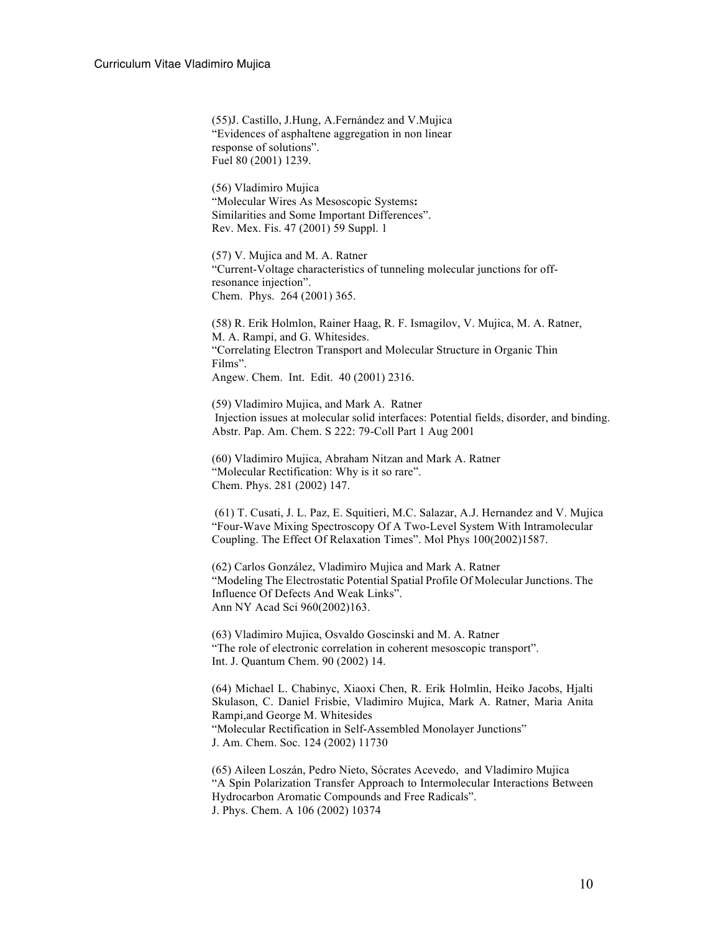(55)J. Castillo, J.Hung, A.Fernández and V.Mujica "Evidences of asphaltene aggregation in non linear response of solutions". Fuel 80 (2001) 1239.

(56) Vladimiro Mujica "Molecular Wires As Mesoscopic Systems**:** Similarities and Some Important Differences". Rev. Mex. Fis. 47 (2001) 59 Suppl. 1

(57) V. Mujica and M. A. Ratner "Current-Voltage characteristics of tunneling molecular junctions for offresonance injection". Chem. Phys. 264 (2001) 365.

(58) R. Erik Holmlon, Rainer Haag, R. F. Ismagilov, V. Mujica, M. A. Ratner, M. A. Rampi, and G. Whitesides. "Correlating Electron Transport and Molecular Structure in Organic Thin Films". Angew. Chem. Int. Edit. 40 (2001) 2316.

(59) Vladimiro Mujica, and Mark A. Ratner Injection issues at molecular solid interfaces: Potential fields, disorder, and binding. Abstr. Pap. Am. Chem. S 222: 79-Coll Part 1 Aug 2001

(60) Vladimiro Mujica, Abraham Nitzan and Mark A. Ratner "Molecular Rectification: Why is it so rare". Chem. Phys. 281 (2002) 147.

(61) T. Cusati, J. L. Paz, E. Squitieri, M.C. Salazar, A.J. Hernandez and V. Mujica "Four-Wave Mixing Spectroscopy Of A Two-Level System With Intramolecular Coupling. The Effect Of Relaxation Times". Mol Phys 100(2002)1587.

(62) Carlos González, Vladimiro Mujica and Mark A. Ratner "Modeling The Electrostatic Potential Spatial Profile Of Molecular Junctions. The Influence Of Defects And Weak Links". Ann NY Acad Sci 960(2002)163.

(63) Vladimiro Mujica, Osvaldo Goscinski and M. A. Ratner "The role of electronic correlation in coherent mesoscopic transport". Int. J. Quantum Chem. 90 (2002) 14.

(64) Michael L. Chabinyc, Xiaoxi Chen, R. Erik Holmlin, Heiko Jacobs, Hjalti Skulason, C. Daniel Frisbie, Vladimiro Mujica, Mark A. Ratner, Maria Anita Rampi,and George M. Whitesides "Molecular Rectification in Self-Assembled Monolayer Junctions" J. Am. Chem. Soc. 124 (2002) 11730

(65) Aileen Loszán, Pedro Nieto, Sócrates Acevedo, and Vladimiro Mujica "A Spin Polarization Transfer Approach to Intermolecular Interactions Between Hydrocarbon Aromatic Compounds and Free Radicals". J. Phys. Chem. A 106 (2002) 10374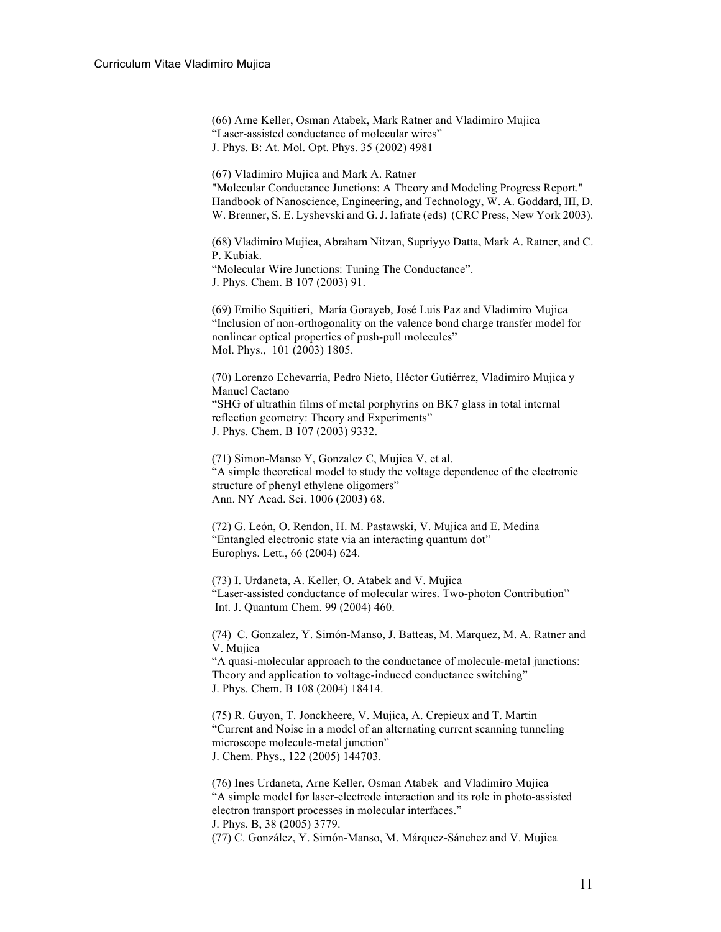(66) Arne Keller, Osman Atabek, Mark Ratner and Vladimiro Mujica "Laser-assisted conductance of molecular wires" J. Phys. B: At. Mol. Opt. Phys. 35 (2002) 4981

(67) Vladimiro Mujica and Mark A. Ratner "Molecular Conductance Junctions: A Theory and Modeling Progress Report." Handbook of Nanoscience, Engineering, and Technology, W. A. Goddard, III, D. W. Brenner, S. E. Lyshevski and G. J. Iafrate (eds) (CRC Press, New York 2003).

(68) Vladimiro Mujica, Abraham Nitzan, Supriyyo Datta, Mark A. Ratner, and C. P. Kubiak. "Molecular Wire Junctions: Tuning The Conductance".

J. Phys. Chem. B 107 (2003) 91.

(69) Emilio Squitieri, María Gorayeb, José Luis Paz and Vladimiro Mujica "Inclusion of non-orthogonality on the valence bond charge transfer model for nonlinear optical properties of push-pull molecules" Mol. Phys., 101 (2003) 1805.

(70) Lorenzo Echevarría, Pedro Nieto, Héctor Gutiérrez, Vladimiro Mujica y Manuel Caetano "SHG of ultrathin films of metal porphyrins on BK7 glass in total internal reflection geometry: Theory and Experiments" J. Phys. Chem. B 107 (2003) 9332.

(71) Simon-Manso Y, Gonzalez C, Mujica V, et al. "A simple theoretical model to study the voltage dependence of the electronic structure of phenyl ethylene oligomers" Ann. NY Acad. Sci. 1006 (2003) 68.

(72) G. León, O. Rendon, H. M. Pastawski, V. Mujica and E. Medina "Entangled electronic state via an interacting quantum dot" Europhys. Lett., 66 (2004) 624.

(73) I. Urdaneta, A. Keller, O. Atabek and V. Mujica "Laser-assisted conductance of molecular wires. Two-photon Contribution" Int. J. Quantum Chem. 99 (2004) 460.

(74) C. Gonzalez, Y. Simón-Manso, J. Batteas, M. Marquez, M. A. Ratner and V. Mujica

"A quasi-molecular approach to the conductance of molecule-metal junctions: Theory and application to voltage-induced conductance switching" J. Phys. Chem. B 108 (2004) 18414.

(75) R. Guyon, T. Jonckheere, V. Mujica, A. Crepieux and T. Martin "Current and Noise in a model of an alternating current scanning tunneling microscope molecule-metal junction" J. Chem. Phys., 122 (2005) 144703.

(76) Ines Urdaneta, Arne Keller, Osman Atabek and Vladimiro Mujica "A simple model for laser-electrode interaction and its role in photo-assisted electron transport processes in molecular interfaces." J. Phys. B, 38 (2005) 3779.

(77) C. González, Y. Simón-Manso, M. Márquez-Sánchez and V. Mujica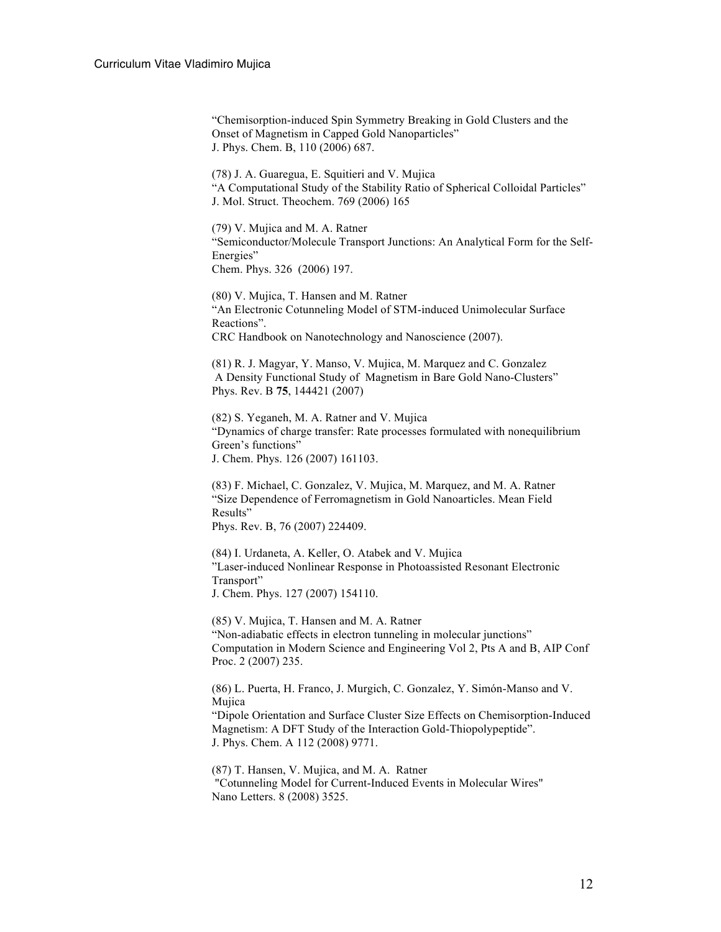"Chemisorption-induced Spin Symmetry Breaking in Gold Clusters and the Onset of Magnetism in Capped Gold Nanoparticles" J. Phys. Chem. B, 110 (2006) 687.

(78) J. A. Guaregua, E. Squitieri and V. Mujica "A Computational Study of the Stability Ratio of Spherical Colloidal Particles" J. Mol. Struct. Theochem. 769 (2006) 165

(79) V. Mujica and M. A. Ratner "Semiconductor/Molecule Transport Junctions: An Analytical Form for the Self-Energies" Chem. Phys. 326 (2006) 197.

(80) V. Mujica, T. Hansen and M. Ratner "An Electronic Cotunneling Model of STM-induced Unimolecular Surface Reactions". CRC Handbook on Nanotechnology and Nanoscience (2007).

(81) R. J. Magyar, Y. Manso, V. Mujica, M. Marquez and C. Gonzalez A Density Functional Study of Magnetism in Bare Gold Nano-Clusters" Phys. Rev. B **75**, 144421 (2007)

(82) S. Yeganeh, M. A. Ratner and V. Mujica "Dynamics of charge transfer: Rate processes formulated with nonequilibrium Green's functions" J. Chem. Phys. 126 (2007) 161103.

(83) F. Michael, C. Gonzalez, V. Mujica, M. Marquez, and M. A. Ratner "Size Dependence of Ferromagnetism in Gold Nanoarticles. Mean Field Results" Phys. Rev. B, 76 (2007) 224409.

(84) I. Urdaneta, A. Keller, O. Atabek and V. Mujica "Laser-induced Nonlinear Response in Photoassisted Resonant Electronic Transport" J. Chem. Phys. 127 (2007) 154110.

(85) V. Mujica, T. Hansen and M. A. Ratner "Non-adiabatic effects in electron tunneling in molecular junctions" Computation in Modern Science and Engineering Vol 2, Pts A and B, AIP Conf Proc. 2 (2007) 235.

(86) L. Puerta, H. Franco, J. Murgich, C. Gonzalez, Y. Simón-Manso and V. Mujica "Dipole Orientation and Surface Cluster Size Effects on Chemisorption-Induced Magnetism: A DFT Study of the Interaction Gold-Thiopolypeptide". J. Phys. Chem. A 112 (2008) 9771.

(87) T. Hansen, V. Mujica, and M. A. Ratner "Cotunneling Model for Current-Induced Events in Molecular Wires" Nano Letters. 8 (2008) 3525.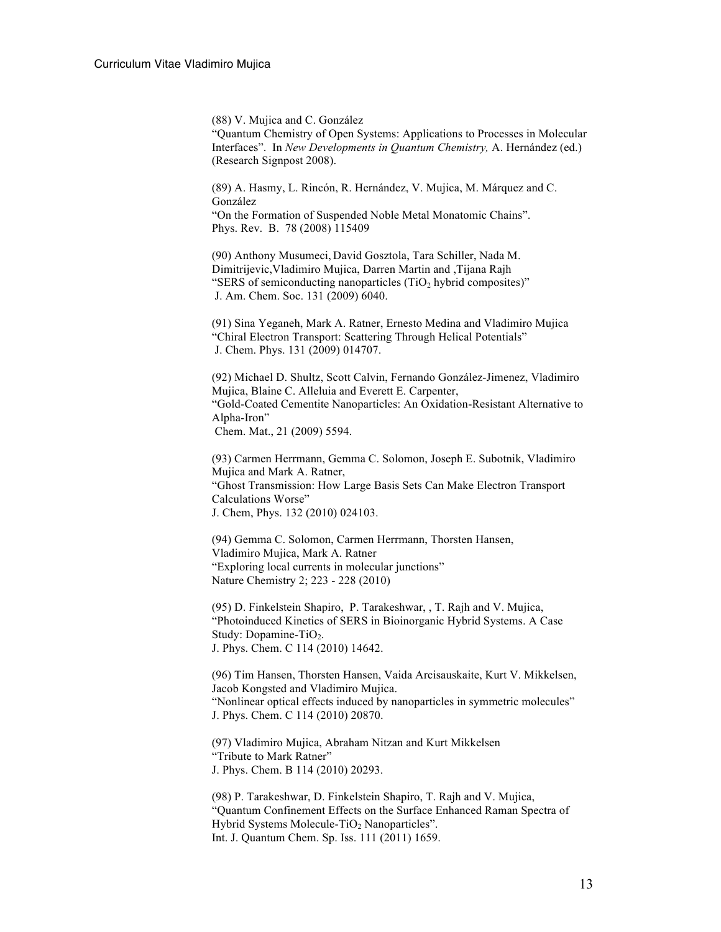(88) V. Mujica and C. González "Quantum Chemistry of Open Systems: Applications to Processes in Molecular Interfaces". In *New Developments in Quantum Chemistry,* A. Hernández (ed.) (Research Signpost 2008).

(89) A. Hasmy, L. Rincón, R. Hernández, V. Mujica, M. Márquez and C. González "On the Formation of Suspended Noble Metal Monatomic Chains". Phys. Rev. B. 78 (2008) 115409

(90) Anthony Musumeci, David Gosztola, Tara Schiller, Nada M. Dimitrijevic,Vladimiro Mujica, Darren Martin and ,Tijana Rajh "SERS of semiconducting nanoparticles  $(TiO<sub>2</sub>)$  hybrid composites)" J. Am. Chem. Soc. 131 (2009) 6040.

(91) Sina Yeganeh, Mark A. Ratner, Ernesto Medina and Vladimiro Mujica "Chiral Electron Transport: Scattering Through Helical Potentials" J. Chem. Phys. 131 (2009) 014707.

(92) Michael D. Shultz, Scott Calvin, Fernando González-Jimenez, Vladimiro Mujica, Blaine C. Alleluia and Everett E. Carpenter, "Gold-Coated Cementite Nanoparticles: An Oxidation-Resistant Alternative to Alpha-Iron" Chem. Mat., 21 (2009) 5594.

(93) Carmen Herrmann, Gemma C. Solomon, Joseph E. Subotnik, Vladimiro Mujica and Mark A. Ratner, "Ghost Transmission: How Large Basis Sets Can Make Electron Transport Calculations Worse" J. Chem, Phys. 132 (2010) 024103.

(94) Gemma C. Solomon, Carmen Herrmann, Thorsten Hansen, Vladimiro Mujica, Mark A. Ratner "Exploring local currents in molecular junctions" Nature Chemistry 2; 223 - 228 (2010)

(95) D. Finkelstein Shapiro, P. Tarakeshwar, , T. Rajh and V. Mujica, "Photoinduced Kinetics of SERS in Bioinorganic Hybrid Systems. A Case Study: Dopamine-TiO<sub>2</sub>. J. Phys. Chem. C 114 (2010) 14642.

(96) Tim Hansen, Thorsten Hansen, Vaida Arcisauskaite, Kurt V. Mikkelsen, Jacob Kongsted and Vladimiro Mujica. "Nonlinear optical effects induced by nanoparticles in symmetric molecules" J. Phys. Chem. C 114 (2010) 20870.

(97) Vladimiro Mujica, Abraham Nitzan and Kurt Mikkelsen "Tribute to Mark Ratner" J. Phys. Chem. B 114 (2010) 20293.

(98) P. Tarakeshwar, D. Finkelstein Shapiro, T. Rajh and V. Mujica, "Quantum Confinement Effects on the Surface Enhanced Raman Spectra of Hybrid Systems Molecule-TiO<sub>2</sub> Nanoparticles". Int. J. Quantum Chem. Sp. Iss. 111 (2011) 1659.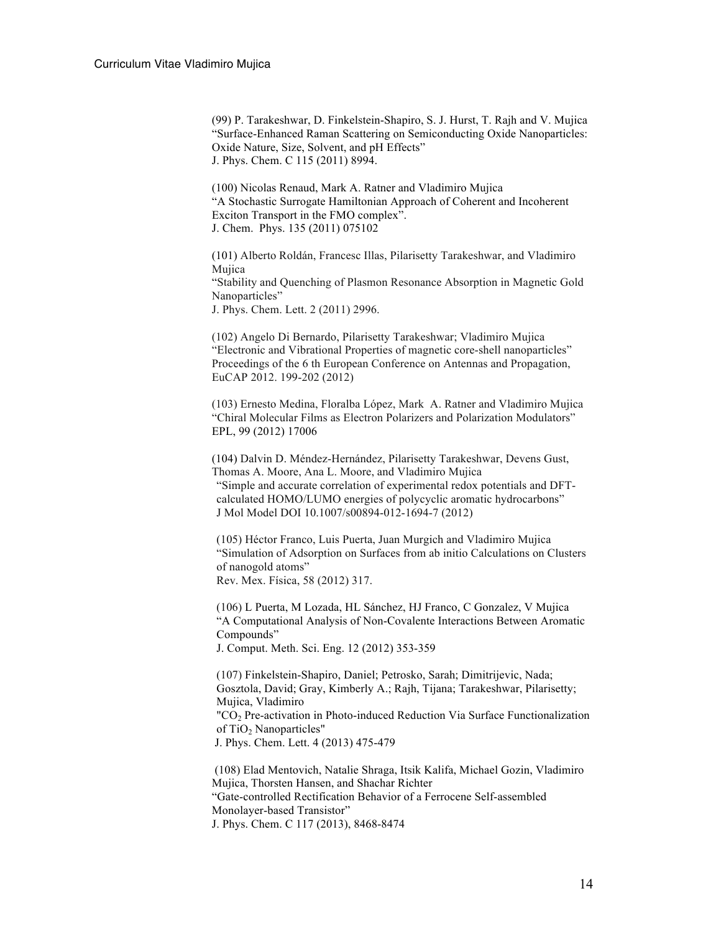(99) P. Tarakeshwar, D. Finkelstein-Shapiro, S. J. Hurst, T. Rajh and V. Mujica "Surface-Enhanced Raman Scattering on Semiconducting Oxide Nanoparticles: Oxide Nature, Size, Solvent, and pH Effects" J. Phys. Chem. C 115 (2011) 8994.

(100) Nicolas Renaud, Mark A. Ratner and Vladimiro Mujica "A Stochastic Surrogate Hamiltonian Approach of Coherent and Incoherent Exciton Transport in the FMO complex". J. Chem. Phys. 135 (2011) 075102

(101) Alberto Roldán, Francesc Illas, Pilarisetty Tarakeshwar, and Vladimiro Mujica "Stability and Quenching of Plasmon Resonance Absorption in Magnetic Gold Nanoparticles" J. Phys. Chem. Lett. 2 (2011) 2996.

(102) Angelo Di Bernardo, Pilarisetty Tarakeshwar; Vladimiro Mujica "Electronic and Vibrational Properties of magnetic core-shell nanoparticles" Proceedings of the 6 th European Conference on Antennas and Propagation, EuCAP 2012. 199-202 (2012)

(103) Ernesto Medina, Floralba López, Mark A. Ratner and Vladimiro Mujica "Chiral Molecular Films as Electron Polarizers and Polarization Modulators" EPL, 99 (2012) 17006

(104) Dalvin D. Méndez-Hernández, Pilarisetty Tarakeshwar, Devens Gust, Thomas A. Moore, Ana L. Moore, and Vladimiro Mujica "Simple and accurate correlation of experimental redox potentials and DFTcalculated HOMO/LUMO energies of polycyclic aromatic hydrocarbons" J Mol Model DOI 10.1007/s00894-012-1694-7 (2012)

(105) Héctor Franco, Luis Puerta, Juan Murgich and Vladimiro Mujica "Simulation of Adsorption on Surfaces from ab initio Calculations on Clusters of nanogold atoms"

Rev. Mex. Física, 58 (2012) 317.

(106) L Puerta, M Lozada, HL Sánchez, HJ Franco, C Gonzalez, V Mujica "A Computational Analysis of Non-Covalente Interactions Between Aromatic Compounds"

J. Comput. Meth. Sci. Eng. 12 (2012) 353-359

(107) Finkelstein-Shapiro, Daniel; Petrosko, Sarah; Dimitrijevic, Nada; Gosztola, David; Gray, Kimberly A.; Rajh, Tijana; Tarakeshwar, Pilarisetty; Mujica, Vladimiro "CO<sub>2</sub> Pre-activation in Photo-induced Reduction Via Surface Functionalization of TiO<sub>2</sub> Nanoparticles" J. Phys. Chem. Lett. 4 (2013) 475-479

(108) Elad Mentovich, Natalie Shraga, Itsik Kalifa, Michael Gozin, Vladimiro Mujica, Thorsten Hansen, and Shachar Richter "Gate-controlled Rectification Behavior of a Ferrocene Self-assembled Monolayer-based Transistor" J. Phys. Chem. C 117 (2013), 8468-8474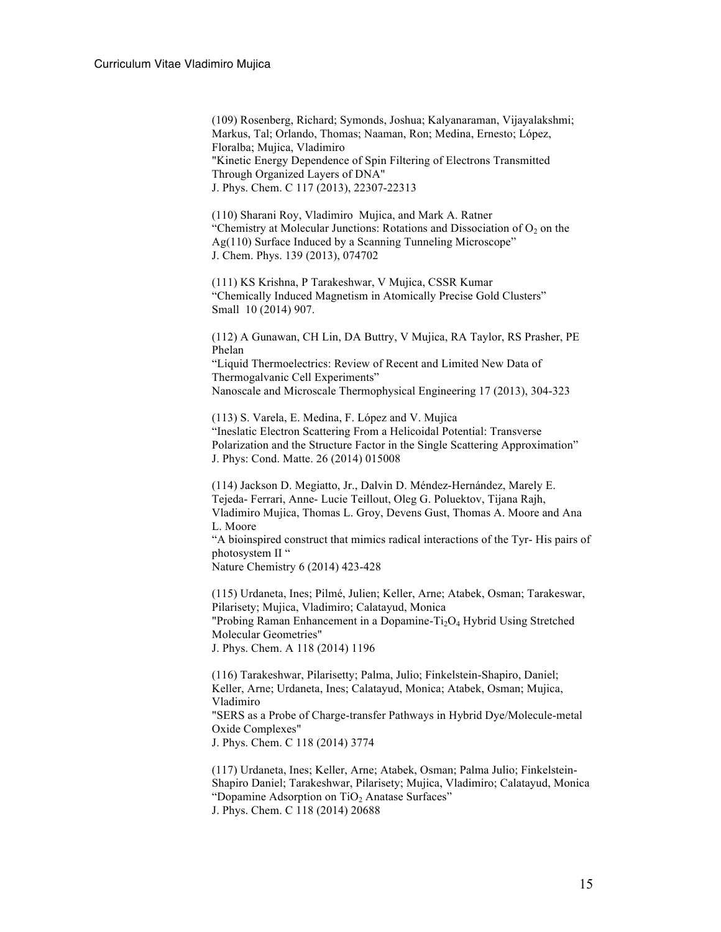(109) Rosenberg, Richard; Symonds, Joshua; Kalyanaraman, Vijayalakshmi; Markus, Tal; Orlando, Thomas; Naaman, Ron; Medina, Ernesto; López, Floralba; Mujica, Vladimiro "Kinetic Energy Dependence of Spin Filtering of Electrons Transmitted Through Organized Layers of DNA" J. Phys. Chem. C 117 (2013), 22307-22313

(110) Sharani Roy, Vladimiro Mujica, and Mark A. Ratner "Chemistry at Molecular Junctions: Rotations and Dissociation of  $O_2$  on the Ag(110) Surface Induced by a Scanning Tunneling Microscope" J. Chem. Phys. 139 (2013), 074702

(111) KS Krishna, P Tarakeshwar, V Mujica, CSSR Kumar "Chemically Induced Magnetism in Atomically Precise Gold Clusters" Small 10 (2014) 907.

(112) A Gunawan, CH Lin, DA Buttry, V Mujica, RA Taylor, RS Prasher, PE Phelan "Liquid Thermoelectrics: Review of Recent and Limited New Data of Thermogalvanic Cell Experiments"

Nanoscale and Microscale Thermophysical Engineering 17 (2013), 304-323

(113) S. Varela, E. Medina, F. López and V. Mujica "Ineslatic Electron Scattering From a Helicoidal Potential: Transverse Polarization and the Structure Factor in the Single Scattering Approximation" J. Phys: Cond. Matte. 26 (2014) 015008

(114) Jackson D. Megiatto, Jr., Dalvin D. Méndez-Hernández, Marely E. Tejeda- Ferrari, Anne- Lucie Teillout, Oleg G. Poluektov, Tijana Rajh, Vladimiro Mujica, Thomas L. Groy, Devens Gust, Thomas A. Moore and Ana L. Moore "A bioinspired construct that mimics radical interactions of the Tyr- His pairs of photosystem II "

Nature Chemistry 6 (2014) 423-428

(115) Urdaneta, Ines; Pilmé, Julien; Keller, Arne; Atabek, Osman; Tarakeswar, Pilarisety; Mujica, Vladimiro; Calatayud, Monica "Probing Raman Enhancement in a Dopamine-Ti<sub>2</sub>O<sub>4</sub> Hybrid Using Stretched Molecular Geometries" J. Phys. Chem. A 118 (2014) 1196

(116) Tarakeshwar, Pilarisetty; Palma, Julio; Finkelstein-Shapiro, Daniel; Keller, Arne; Urdaneta, Ines; Calatayud, Monica; Atabek, Osman; Mujica, Vladimiro "SERS as a Probe of Charge-transfer Pathways in Hybrid Dye/Molecule-metal Oxide Complexes" J. Phys. Chem. C 118 (2014) 3774

(117) Urdaneta, Ines; Keller, Arne; Atabek, Osman; Palma Julio; Finkelstein-Shapiro Daniel; Tarakeshwar, Pilarisety; Mujica, Vladimiro; Calatayud, Monica "Dopamine Adsorption on  $TiO<sub>2</sub>$  Anatase Surfaces" J. Phys. Chem. C 118 (2014) 20688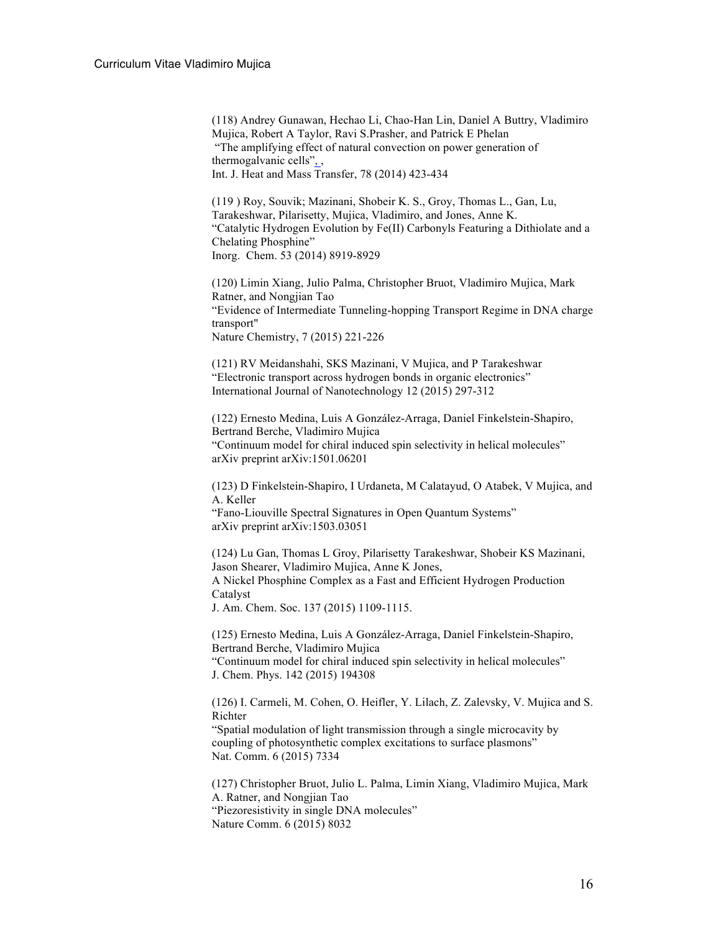(118) Andrey Gunawan, Hechao Li, Chao-Han Lin, Daniel A Buttry, Vladimiro Mujica, Robert A Taylor, Ravi S.Prasher, and Patrick E Phelan "The amplifying effect of natural convection on power generation of thermogalvanic cells", , Int. J. Heat and Mass Transfer, 78 (2014) 423-434

(119 ) Roy, Souvik; Mazinani, Shobeir K. S., Groy, Thomas L., Gan, Lu, Tarakeshwar, Pilarisetty, Mujica, Vladimiro, and Jones, Anne K. "Catalytic Hydrogen Evolution by Fe(II) Carbonyls Featuring a Dithiolate and a Chelating Phosphine" Inorg. Chem. 53 (2014) 8919-8929

(120) Limin Xiang, Julio Palma, Christopher Bruot, Vladimiro Mujica, Mark Ratner, and Nongjian Tao "Evidence of Intermediate Tunneling-hopping Transport Regime in DNA charge transport" Nature Chemistry, 7 (2015) 221-226

(121) RV Meidanshahi, SKS Mazinani, V Mujica, and P Tarakeshwar "Electronic transport across hydrogen bonds in organic electronics" International Journal of Nanotechnology 12 (2015) 297-312

(122) Ernesto Medina, Luis A González-Arraga, Daniel Finkelstein-Shapiro, Bertrand Berche, Vladimiro Mujica "Continuum model for chiral induced spin selectivity in helical molecules" arXiv preprint arXiv:1501.06201

(123) D Finkelstein-Shapiro, I Urdaneta, M Calatayud, O Atabek, V Mujica, and A. Keller

"Fano-Liouville Spectral Signatures in Open Quantum Systems" arXiv preprint arXiv:1503.03051

(124) Lu Gan, Thomas L Groy, Pilarisetty Tarakeshwar, Shobeir KS Mazinani, Jason Shearer, Vladimiro Mujica, Anne K Jones, A Nickel Phosphine Complex as a Fast and Efficient Hydrogen Production Catalyst

J. Am. Chem. Soc. 137 (2015) 1109-1115.

(125) Ernesto Medina, Luis A González-Arraga, Daniel Finkelstein-Shapiro, Bertrand Berche, Vladimiro Mujica "Continuum model for chiral induced spin selectivity in helical molecules" J. Chem. Phys. 142 (2015) 194308

(126) I. Carmeli, M. Cohen, O. Heifler, Y. Lilach, Z. Zalevsky, V. Mujica and S. Richter

"Spatial modulation of light transmission through a single microcavity by coupling of photosynthetic complex excitations to surface plasmons" Nat. Comm. 6 (2015) 7334

(127) Christopher Bruot, Julio L. Palma, Limin Xiang, Vladimiro Mujica, Mark A. Ratner, and Nongjian Tao "Piezoresistivity in single DNA molecules" Nature Comm. 6 (2015) 8032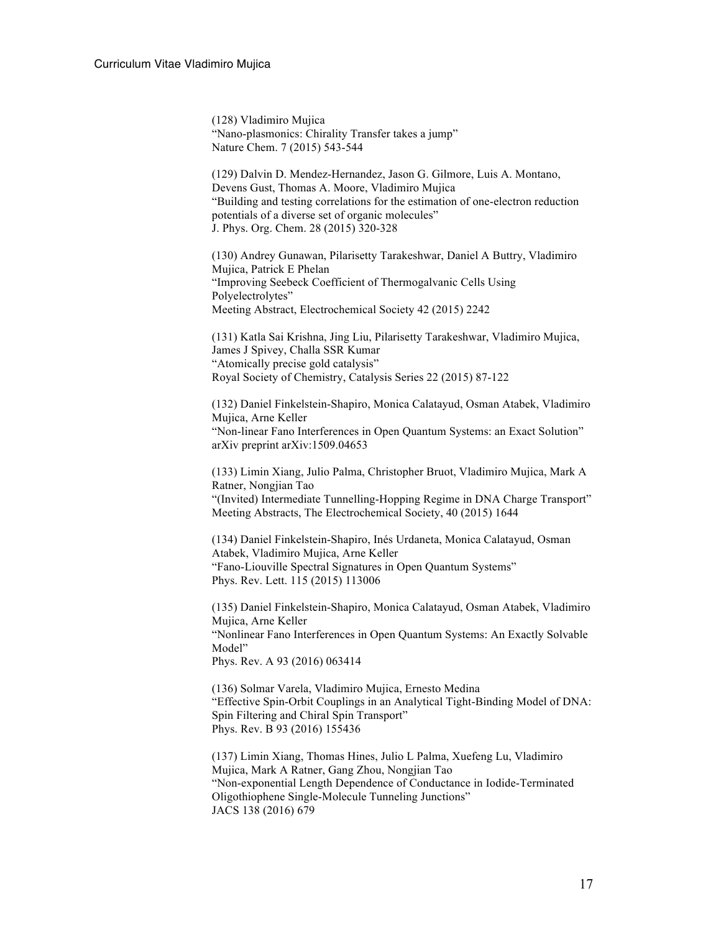(128) Vladimiro Mujica "Nano-plasmonics: Chirality Transfer takes a jump" Nature Chem. 7 (2015) 543-544

(129) Dalvin D. Mendez-Hernandez, Jason G. Gilmore, Luis A. Montano, Devens Gust, Thomas A. Moore, Vladimiro Mujica "Building and testing correlations for the estimation of one-electron reduction potentials of a diverse set of organic molecules" J. Phys. Org. Chem. 28 (2015) 320-328

(130) Andrey Gunawan, Pilarisetty Tarakeshwar, Daniel A Buttry, Vladimiro Mujica, Patrick E Phelan "Improving Seebeck Coefficient of Thermogalvanic Cells Using Polyelectrolytes" Meeting Abstract, Electrochemical Society 42 (2015) 2242

(131) Katla Sai Krishna, Jing Liu, Pilarisetty Tarakeshwar, Vladimiro Mujica, James J Spivey, Challa SSR Kumar "Atomically precise gold catalysis" Royal Society of Chemistry, Catalysis Series 22 (2015) 87-122

(132) Daniel Finkelstein-Shapiro, Monica Calatayud, Osman Atabek, Vladimiro Mujica, Arne Keller "Non-linear Fano Interferences in Open Quantum Systems: an Exact Solution" arXiv preprint arXiv:1509.04653

(133) Limin Xiang, Julio Palma, Christopher Bruot, Vladimiro Mujica, Mark A Ratner, Nongjian Tao "(Invited) Intermediate Tunnelling-Hopping Regime in DNA Charge Transport" Meeting Abstracts, The Electrochemical Society, 40 (2015) 1644

(134) Daniel Finkelstein-Shapiro, Inés Urdaneta, Monica Calatayud, Osman Atabek, Vladimiro Mujica, Arne Keller "Fano-Liouville Spectral Signatures in Open Quantum Systems" Phys. Rev. Lett. 115 (2015) 113006

(135) Daniel Finkelstein-Shapiro, Monica Calatayud, Osman Atabek, Vladimiro Mujica, Arne Keller "Nonlinear Fano Interferences in Open Quantum Systems: An Exactly Solvable Model" Phys. Rev. A 93 (2016) 063414

(136) Solmar Varela, Vladimiro Mujica, Ernesto Medina "Effective Spin-Orbit Couplings in an Analytical Tight-Binding Model of DNA: Spin Filtering and Chiral Spin Transport" Phys. Rev. B 93 (2016) 155436

(137) Limin Xiang, Thomas Hines, Julio L Palma, Xuefeng Lu, Vladimiro Mujica, Mark A Ratner, Gang Zhou, Nongjian Tao "Non-exponential Length Dependence of Conductance in Iodide-Terminated Oligothiophene Single-Molecule Tunneling Junctions" JACS 138 (2016) 679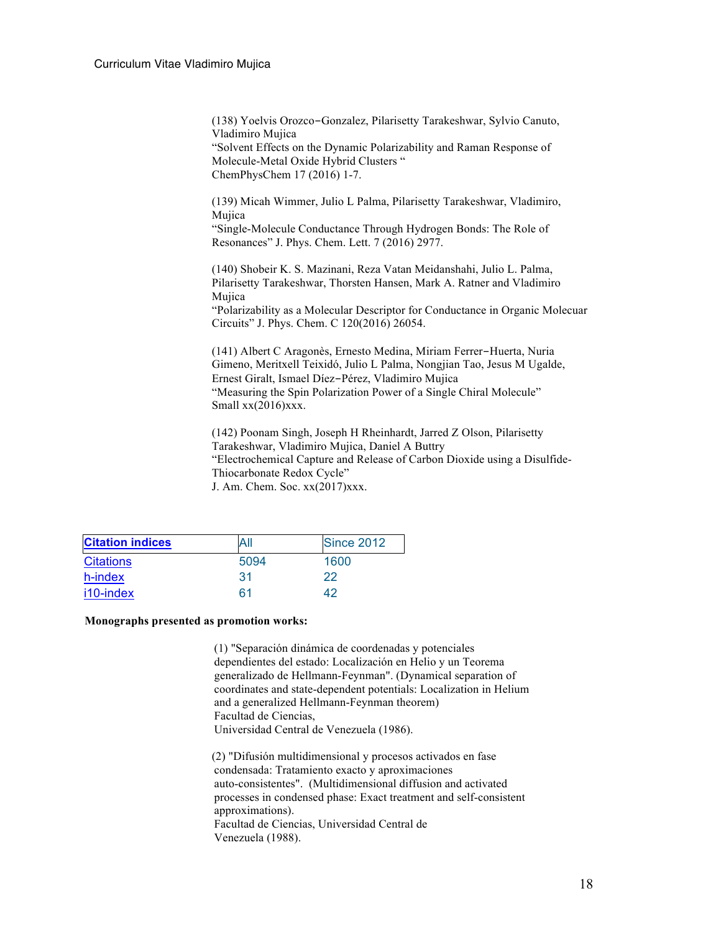(138) Yoelvis Orozco-Gonzalez, Pilarisetty Tarakeshwar, Sylvio Canuto, Vladimiro Mujica "Solvent Effects on the Dynamic Polarizability and Raman Response of Molecule-Metal Oxide Hybrid Clusters " ChemPhysChem 17 (2016) 1-7.

(139) Micah Wimmer, Julio L Palma, Pilarisetty Tarakeshwar, Vladimiro, Mujica

"Single-Molecule Conductance Through Hydrogen Bonds: The Role of Resonances" J. Phys. Chem. Lett. 7 (2016) 2977.

(140) Shobeir K. S. Mazinani, Reza Vatan Meidanshahi, Julio L. Palma, Pilarisetty Tarakeshwar, Thorsten Hansen, Mark A. Ratner and Vladimiro Mujica

"Polarizability as a Molecular Descriptor for Conductance in Organic Molecuar Circuits" J. Phys. Chem. C 120(2016) 26054.

(141) Albert C Aragonès, Ernesto Medina, Miriam Ferrer-Huerta, Nuria Gimeno, Meritxell Teixidó, Julio L Palma, Nongjian Tao, Jesus M Ugalde, Ernest Giralt, Ismael Díez-Pérez, Vladimiro Mujica "Measuring the Spin Polarization Power of a Single Chiral Molecule" Small xx(2016)xxx.

(142) Poonam Singh, Joseph H Rheinhardt, Jarred Z Olson, Pilarisetty Tarakeshwar, Vladimiro Mujica, Daniel A Buttry "Electrochemical Capture and Release of Carbon Dioxide using a Disulfide-Thiocarbonate Redox Cycle" J. Am. Chem. Soc. xx(2017)xxx.

| <b>Citation indices</b> | All  | <b>Since 2012</b> |
|-------------------------|------|-------------------|
| <b>Citations</b>        | 5094 | 1600              |
| h-index                 | 31   | $22^{\circ}$      |
| i10-index               | 61   | 42                |

#### **Monographs presented as promotion works:**

(1) "Separación dinámica de coordenadas y potenciales dependientes del estado: Localización en Helio y un Teorema generalizado de Hellmann-Feynman". (Dynamical separation of coordinates and state-dependent potentials: Localization in Helium and a generalized Hellmann-Feynman theorem) Facultad de Ciencias, Universidad Central de Venezuela (1986).

(2) "Difusión multidimensional y procesos activados en fase condensada: Tratamiento exacto y aproximaciones auto-consistentes". (Multidimensional diffusion and activated processes in condensed phase: Exact treatment and self-consistent approximations). Facultad de Ciencias, Universidad Central de Venezuela (1988).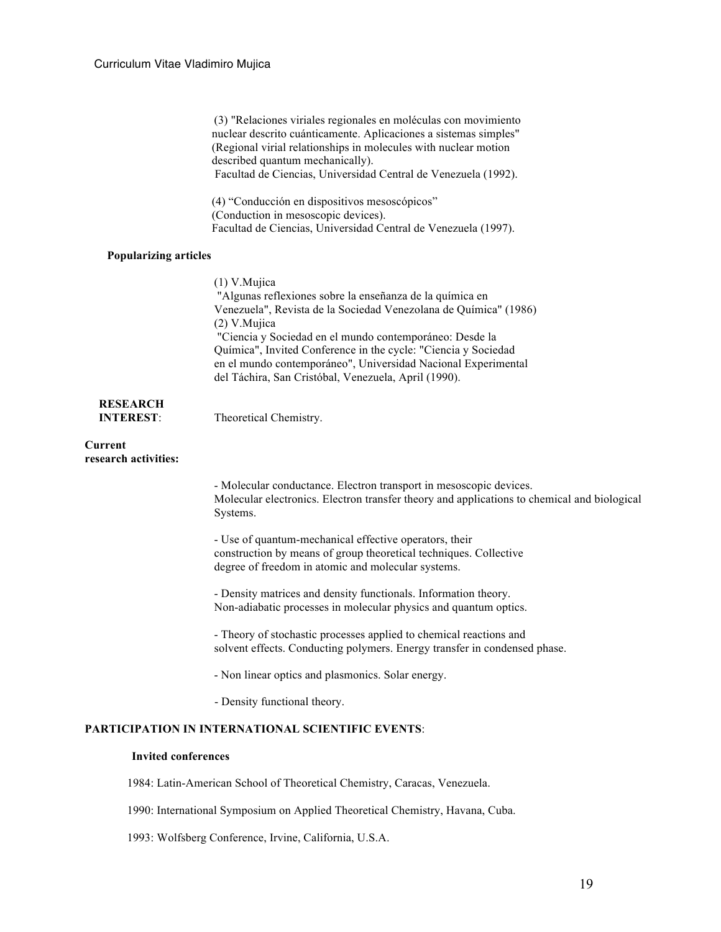|                                                                           | (3) "Relaciones viriales regionales en moléculas con movimiento<br>nuclear descrito cuánticamente. Aplicaciones a sistemas simples"<br>(Regional virial relationships in molecules with nuclear motion<br>described quantum mechanically).<br>Facultad de Ciencias, Universidad Central de Venezuela (1992).                                                                                                          |  |
|---------------------------------------------------------------------------|-----------------------------------------------------------------------------------------------------------------------------------------------------------------------------------------------------------------------------------------------------------------------------------------------------------------------------------------------------------------------------------------------------------------------|--|
|                                                                           | (4) "Conducción en dispositivos mesoscópicos"<br>(Conduction in mesoscopic devices).<br>Facultad de Ciencias, Universidad Central de Venezuela (1997).                                                                                                                                                                                                                                                                |  |
| <b>Popularizing articles</b>                                              |                                                                                                                                                                                                                                                                                                                                                                                                                       |  |
|                                                                           | $(1)$ V. Mujica<br>"Algunas reflexiones sobre la enseñanza de la química en<br>Venezuela", Revista de la Sociedad Venezolana de Química" (1986)<br>(2) V.Mujica<br>"Ciencia y Sociedad en el mundo contemporáneo: Desde la<br>Química", Invited Conference in the cycle: "Ciencia y Sociedad<br>en el mundo contemporáneo", Universidad Nacional Experimental<br>del Táchira, San Cristóbal, Venezuela, April (1990). |  |
| <b>RESEARCH</b><br><b>INTEREST:</b>                                       | Theoretical Chemistry.                                                                                                                                                                                                                                                                                                                                                                                                |  |
| Current<br>research activities:                                           |                                                                                                                                                                                                                                                                                                                                                                                                                       |  |
|                                                                           | - Molecular conductance. Electron transport in mesoscopic devices.<br>Molecular electronics. Electron transfer theory and applications to chemical and biological<br>Systems.                                                                                                                                                                                                                                         |  |
|                                                                           | - Use of quantum-mechanical effective operators, their<br>construction by means of group theoretical techniques. Collective<br>degree of freedom in atomic and molecular systems.                                                                                                                                                                                                                                     |  |
|                                                                           | - Density matrices and density functionals. Information theory.<br>Non-adiabatic processes in molecular physics and quantum optics.                                                                                                                                                                                                                                                                                   |  |
|                                                                           | - Theory of stochastic processes applied to chemical reactions and<br>solvent effects. Conducting polymers. Energy transfer in condensed phase.                                                                                                                                                                                                                                                                       |  |
|                                                                           | - Non linear optics and plasmonics. Solar energy.                                                                                                                                                                                                                                                                                                                                                                     |  |
|                                                                           | - Density functional theory.                                                                                                                                                                                                                                                                                                                                                                                          |  |
|                                                                           | <b>PARTICIPATION IN INTERNATIONAL SCIENTIFIC EVENTS:</b>                                                                                                                                                                                                                                                                                                                                                              |  |
| <b>Invited conferences</b>                                                |                                                                                                                                                                                                                                                                                                                                                                                                                       |  |
| 1984: Latin-American School of Theoretical Chemistry, Caracas, Venezuela. |                                                                                                                                                                                                                                                                                                                                                                                                                       |  |

1990: International Symposium on Applied Theoretical Chemistry, Havana, Cuba.

1993: Wolfsberg Conference, Irvine, California, U.S.A.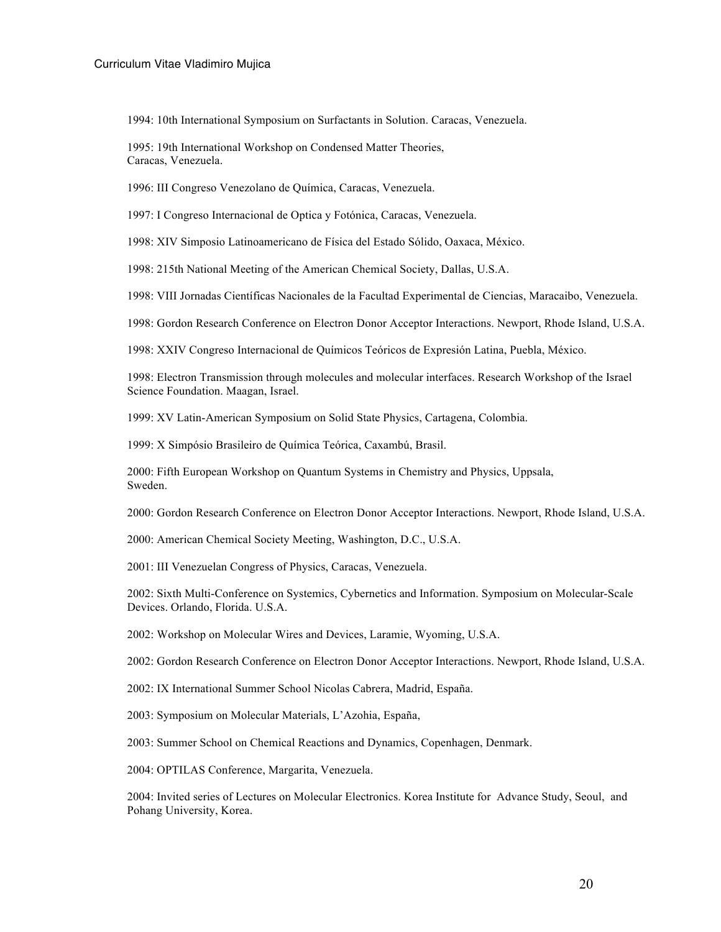1994: 10th International Symposium on Surfactants in Solution. Caracas, Venezuela.

1995: 19th International Workshop on Condensed Matter Theories, Caracas, Venezuela.

1996: III Congreso Venezolano de Química, Caracas, Venezuela.

1997: I Congreso Internacional de Optica y Fotónica, Caracas, Venezuela.

1998: XIV Simposio Latinoamericano de Física del Estado Sólido, Oaxaca, México.

1998: 215th National Meeting of the American Chemical Society, Dallas, U.S.A.

1998: VIII Jornadas Científicas Nacionales de la Facultad Experimental de Ciencias, Maracaibo, Venezuela.

1998: Gordon Research Conference on Electron Donor Acceptor Interactions. Newport, Rhode Island, U.S.A.

1998: XXIV Congreso Internacional de Químicos Teóricos de Expresión Latina, Puebla, México.

1998: Electron Transmission through molecules and molecular interfaces. Research Workshop of the Israel Science Foundation. Maagan, Israel.

1999: XV Latin-American Symposium on Solid State Physics, Cartagena, Colombia.

1999: X Simpósio Brasileiro de Química Teórica, Caxambú, Brasil.

2000: Fifth European Workshop on Quantum Systems in Chemistry and Physics, Uppsala, Sweden.

2000: Gordon Research Conference on Electron Donor Acceptor Interactions. Newport, Rhode Island, U.S.A.

2000: American Chemical Society Meeting, Washington, D.C., U.S.A.

2001: III Venezuelan Congress of Physics, Caracas, Venezuela.

2002: Sixth Multi-Conference on Systemics, Cybernetics and Information. Symposium on Molecular-Scale Devices. Orlando, Florida. U.S.A.

2002: Workshop on Molecular Wires and Devices, Laramie, Wyoming, U.S.A.

2002: Gordon Research Conference on Electron Donor Acceptor Interactions. Newport, Rhode Island, U.S.A.

2002: IX International Summer School Nicolas Cabrera, Madrid, España.

2003: Symposium on Molecular Materials, L'Azohia, España,

2003: Summer School on Chemical Reactions and Dynamics, Copenhagen, Denmark.

2004: OPTILAS Conference, Margarita, Venezuela.

2004: Invited series of Lectures on Molecular Electronics. Korea Institute for Advance Study, Seoul, and Pohang University, Korea.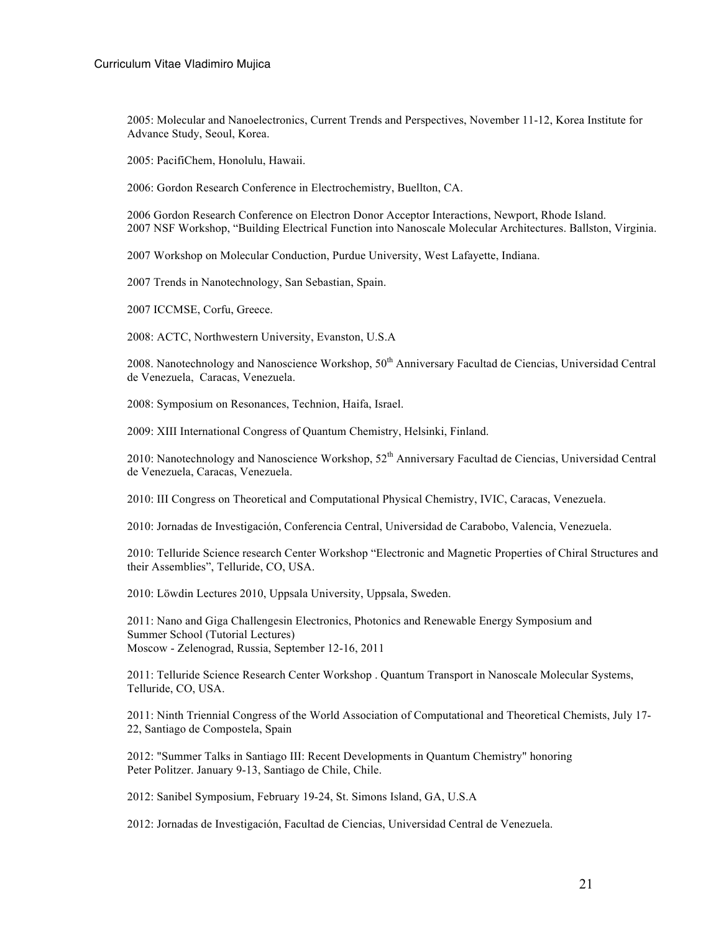2005: Molecular and Nanoelectronics, Current Trends and Perspectives, November 11-12, Korea Institute for Advance Study, Seoul, Korea.

2005: PacifiChem, Honolulu, Hawaii.

2006: Gordon Research Conference in Electrochemistry, Buellton, CA.

2006 Gordon Research Conference on Electron Donor Acceptor Interactions, Newport, Rhode Island. 2007 NSF Workshop, "Building Electrical Function into Nanoscale Molecular Architectures. Ballston, Virginia.

2007 Workshop on Molecular Conduction, Purdue University, West Lafayette, Indiana.

2007 Trends in Nanotechnology, San Sebastian, Spain.

2007 ICCMSE, Corfu, Greece.

2008: ACTC, Northwestern University, Evanston, U.S.A

2008. Nanotechnology and Nanoscience Workshop, 50<sup>th</sup> Anniversary Facultad de Ciencias, Universidad Central de Venezuela, Caracas, Venezuela.

2008: Symposium on Resonances, Technion, Haifa, Israel.

2009: XIII International Congress of Quantum Chemistry, Helsinki, Finland.

2010: Nanotechnology and Nanoscience Workshop, 52<sup>th</sup> Anniversary Facultad de Ciencias, Universidad Central de Venezuela, Caracas, Venezuela.

2010: III Congress on Theoretical and Computational Physical Chemistry, IVIC, Caracas, Venezuela.

2010: Jornadas de Investigación, Conferencia Central, Universidad de Carabobo, Valencia, Venezuela.

2010: Telluride Science research Center Workshop "Electronic and Magnetic Properties of Chiral Structures and their Assemblies", Telluride, CO, USA.

2010: Löwdin Lectures 2010, Uppsala University, Uppsala, Sweden.

2011: Nano and Giga Challengesin Electronics, Photonics and Renewable Energy Symposium and Summer School (Tutorial Lectures) Moscow - Zelenograd, Russia, September 12-16, 2011

2011: Telluride Science Research Center Workshop . Quantum Transport in Nanoscale Molecular Systems, Telluride, CO, USA.

2011: Ninth Triennial Congress of the World Association of Computational and Theoretical Chemists, July 17- 22, Santiago de Compostela, Spain

2012: "Summer Talks in Santiago III: Recent Developments in Quantum Chemistry" honoring Peter Politzer. January 9-13, Santiago de Chile, Chile.

2012: Sanibel Symposium, February 19-24, St. Simons Island, GA, U.S.A

2012: Jornadas de Investigación, Facultad de Ciencias, Universidad Central de Venezuela.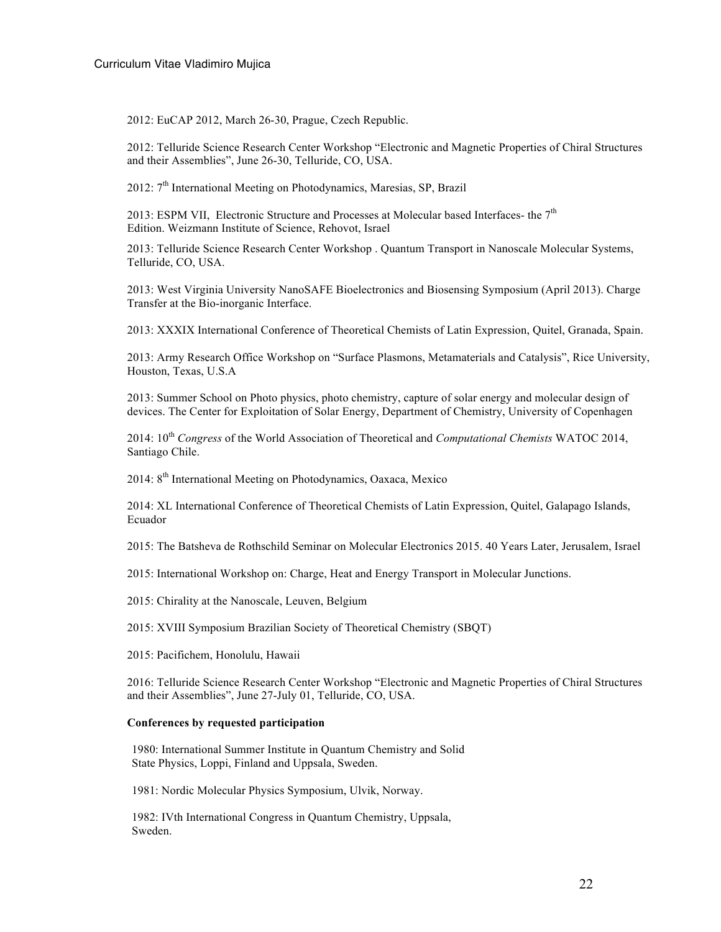2012: EuCAP 2012, March 26-30, Prague, Czech Republic.

2012: Telluride Science Research Center Workshop "Electronic and Magnetic Properties of Chiral Structures and their Assemblies", June 26-30, Telluride, CO, USA.

2012:  $7<sup>th</sup>$  International Meeting on Photodynamics, Maresias, SP, Brazil

2013: ESPM VII, Electronic Structure and Processes at Molecular based Interfaces- the  $7<sup>th</sup>$ Edition. Weizmann Institute of Science, Rehovot, Israel

2013: Telluride Science Research Center Workshop . Quantum Transport in Nanoscale Molecular Systems, Telluride, CO, USA.

2013: West Virginia University NanoSAFE Bioelectronics and Biosensing Symposium (April 2013). Charge Transfer at the Bio-inorganic Interface.

2013: XXXIX International Conference of Theoretical Chemists of Latin Expression, Quitel, Granada, Spain.

2013: Army Research Office Workshop on "Surface Plasmons, Metamaterials and Catalysis", Rice University, Houston, Texas, U.S.A

2013: Summer School on Photo physics, photo chemistry, capture of solar energy and molecular design of devices. The Center for Exploitation of Solar Energy, Department of Chemistry, University of Copenhagen

2014: 10th *Congress* of the World Association of Theoretical and *Computational Chemists* WATOC 2014, Santiago Chile.

2014: 8th International Meeting on Photodynamics, Oaxaca, Mexico

2014: XL International Conference of Theoretical Chemists of Latin Expression, Quitel, Galapago Islands, Ecuador

2015: The Batsheva de Rothschild Seminar on Molecular Electronics 2015. 40 Years Later, Jerusalem, Israel

2015: International Workshop on: Charge, Heat and Energy Transport in Molecular Junctions.

2015: Chirality at the Nanoscale, Leuven, Belgium

2015: XVIII Symposium Brazilian Society of Theoretical Chemistry (SBQT)

2015: Pacifichem, Honolulu, Hawaii

2016: Telluride Science Research Center Workshop "Electronic and Magnetic Properties of Chiral Structures and their Assemblies", June 27-July 01, Telluride, CO, USA.

#### **Conferences by requested participation**

1980: International Summer Institute in Quantum Chemistry and Solid State Physics, Loppi, Finland and Uppsala, Sweden.

1981: Nordic Molecular Physics Symposium, Ulvik, Norway.

1982: IVth International Congress in Quantum Chemistry, Uppsala, Sweden.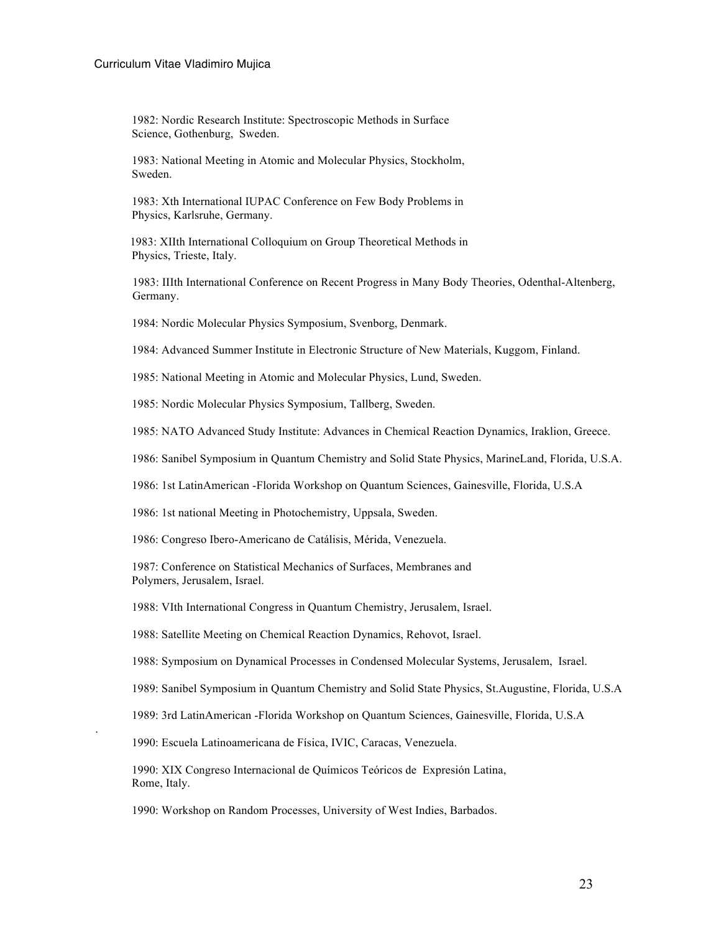1982: Nordic Research Institute: Spectroscopic Methods in Surface Science, Gothenburg, Sweden.

1983: National Meeting in Atomic and Molecular Physics, Stockholm, Sweden.

1983: Xth International IUPAC Conference on Few Body Problems in Physics, Karlsruhe, Germany.

1983: XIIth International Colloquium on Group Theoretical Methods in Physics, Trieste, Italy.

1983: IIIth International Conference on Recent Progress in Many Body Theories, Odenthal-Altenberg, Germany.

1984: Nordic Molecular Physics Symposium, Svenborg, Denmark.

1984: Advanced Summer Institute in Electronic Structure of New Materials, Kuggom, Finland.

1985: National Meeting in Atomic and Molecular Physics, Lund, Sweden.

1985: Nordic Molecular Physics Symposium, Tallberg, Sweden.

1985: NATO Advanced Study Institute: Advances in Chemical Reaction Dynamics, Iraklion, Greece.

1986: Sanibel Symposium in Quantum Chemistry and Solid State Physics, MarineLand, Florida, U.S.A.

1986: 1st LatinAmerican -Florida Workshop on Quantum Sciences, Gainesville, Florida, U.S.A

1986: 1st national Meeting in Photochemistry, Uppsala, Sweden.

1986: Congreso Ibero-Americano de Catálisis, Mérida, Venezuela.

1987: Conference on Statistical Mechanics of Surfaces, Membranes and Polymers, Jerusalem, Israel.

1988: VIth International Congress in Quantum Chemistry, Jerusalem, Israel.

1988: Satellite Meeting on Chemical Reaction Dynamics, Rehovot, Israel.

1988: Symposium on Dynamical Processes in Condensed Molecular Systems, Jerusalem, Israel.

1989: Sanibel Symposium in Quantum Chemistry and Solid State Physics, St.Augustine, Florida, U.S.A

1989: 3rd LatinAmerican -Florida Workshop on Quantum Sciences, Gainesville, Florida, U.S.A

1990: Escuela Latinoamericana de Física, IVIC, Caracas, Venezuela.

.

1990: XIX Congreso Internacional de Químicos Teóricos de Expresión Latina, Rome, Italy.

1990: Workshop on Random Processes, University of West Indies, Barbados.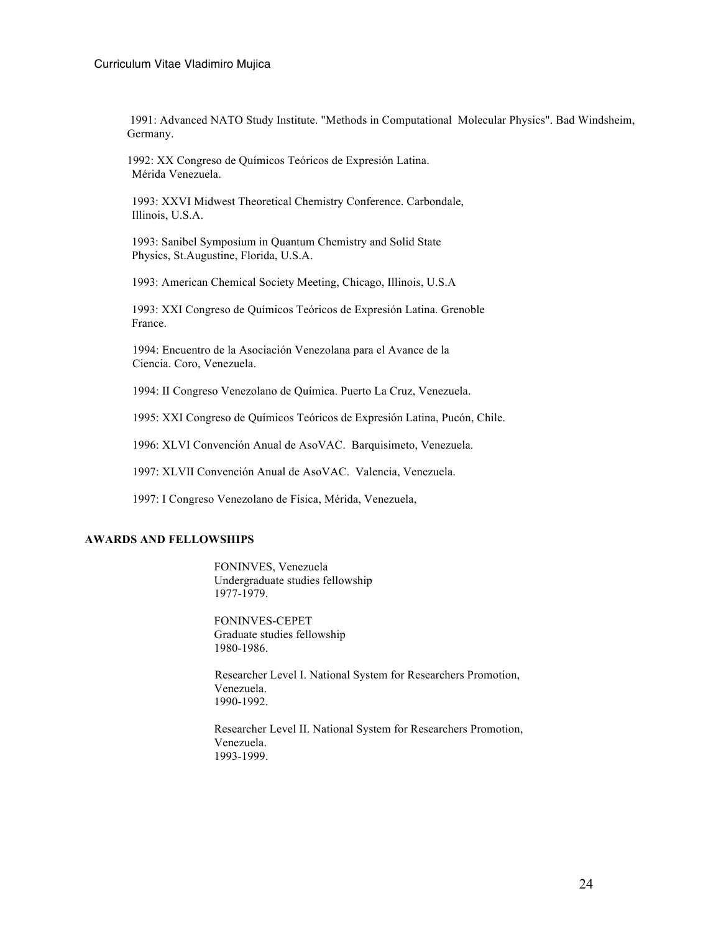1991: Advanced NATO Study Institute. "Methods in Computational Molecular Physics". Bad Windsheim, Germany.

1992: XX Congreso de Químicos Teóricos de Expresión Latina. Mérida Venezuela.

1993: XXVI Midwest Theoretical Chemistry Conference. Carbondale, Illinois, U.S.A.

1993: Sanibel Symposium in Quantum Chemistry and Solid State Physics, St.Augustine, Florida, U.S.A.

1993: American Chemical Society Meeting, Chicago, Illinois, U.S.A

1993: XXI Congreso de Químicos Teóricos de Expresión Latina. Grenoble France.

1994: Encuentro de la Asociación Venezolana para el Avance de la Ciencia. Coro, Venezuela.

1994: II Congreso Venezolano de Química. Puerto La Cruz, Venezuela.

1995: XXI Congreso de Químicos Teóricos de Expresión Latina, Pucón, Chile.

1996: XLVI Convención Anual de AsoVAC. Barquisimeto, Venezuela.

1997: XLVII Convención Anual de AsoVAC. Valencia, Venezuela.

1997: I Congreso Venezolano de Física, Mérida, Venezuela,

### **AWARDS AND FELLOWSHIPS**

FONINVES, Venezuela Undergraduate studies fellowship 1977-1979.

FONINVES-CEPET Graduate studies fellowship 1980-1986.

Researcher Level I. National System for Researchers Promotion, Venezuela. 1990-1992.

Researcher Level II. National System for Researchers Promotion, Venezuela. 1993-1999.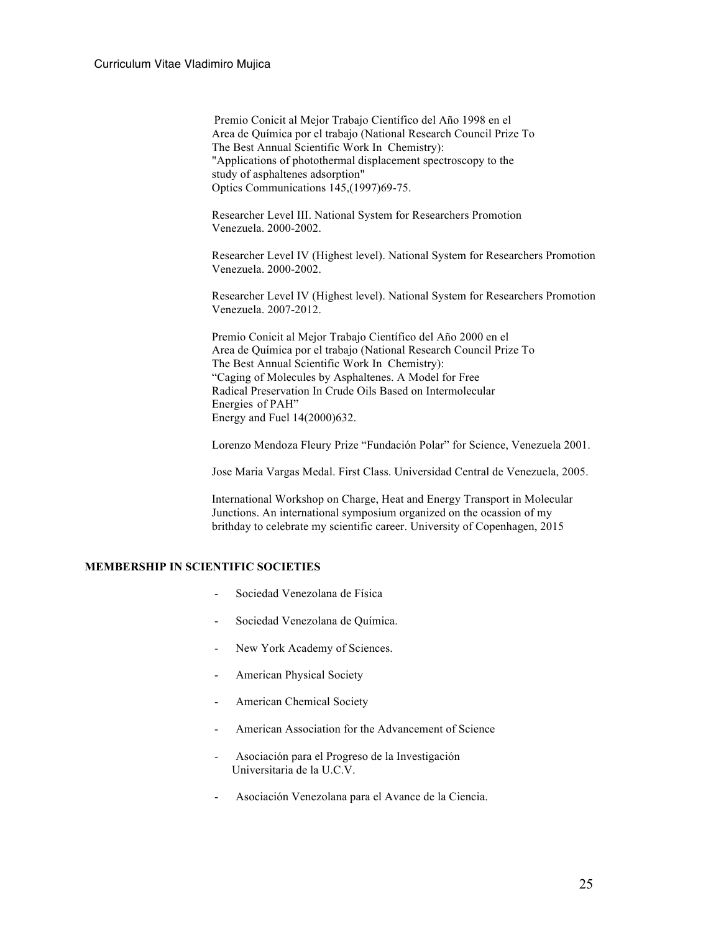Premio Conicit al Mejor Trabajo Científico del Año 1998 en el Area de Química por el trabajo (National Research Council Prize To The Best Annual Scientific Work In Chemistry): "Applications of photothermal displacement spectroscopy to the study of asphaltenes adsorption" Optics Communications 145,(1997)69-75.

Researcher Level III. National System for Researchers Promotion Venezuela. 2000-2002.

Researcher Level IV (Highest level). National System for Researchers Promotion Venezuela. 2000-2002.

Researcher Level IV (Highest level). National System for Researchers Promotion Venezuela. 2007-2012.

Premio Conicit al Mejor Trabajo Científico del Año 2000 en el Area de Química por el trabajo (National Research Council Prize To The Best Annual Scientific Work In Chemistry): "Caging of Molecules by Asphaltenes. A Model for Free Radical Preservation In Crude Oils Based on Intermolecular Energies of PAH" Energy and Fuel 14(2000)632.

Lorenzo Mendoza Fleury Prize "Fundación Polar" for Science, Venezuela 2001.

Jose Maria Vargas Medal. First Class. Universidad Central de Venezuela, 2005.

International Workshop on Charge, Heat and Energy Transport in Molecular Junctions. An international symposium organized on the ocassion of my brithday to celebrate my scientific career. University of Copenhagen, 2015

### **MEMBERSHIP IN SCIENTIFIC SOCIETIES**

- Sociedad Venezolana de Física
- Sociedad Venezolana de Química.
- New York Academy of Sciences.
- American Physical Society
- American Chemical Society
- American Association for the Advancement of Science
- Asociación para el Progreso de la Investigación Universitaria de la U.C.V.
- Asociación Venezolana para el Avance de la Ciencia.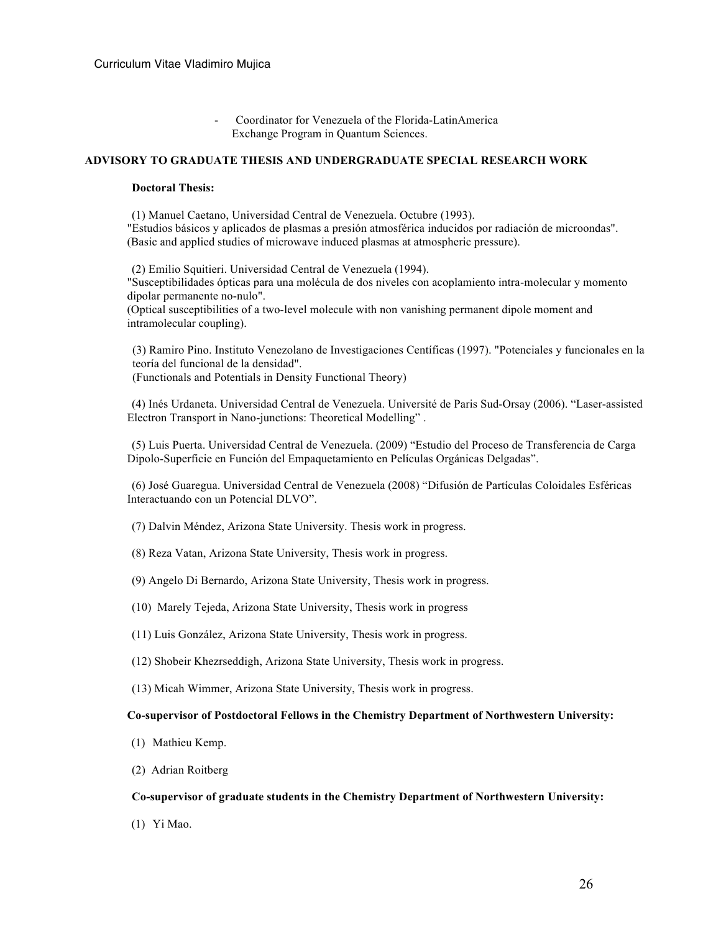- Coordinator for Venezuela of the Florida-LatinAmerica Exchange Program in Quantum Sciences.

#### **ADVISORY TO GRADUATE THESIS AND UNDERGRADUATE SPECIAL RESEARCH WORK**

#### **Doctoral Thesis:**

(1) Manuel Caetano, Universidad Central de Venezuela. Octubre (1993). "Estudios básicos y aplicados de plasmas a presión atmosférica inducidos por radiación de microondas". (Basic and applied studies of microwave induced plasmas at atmospheric pressure).

(2) Emilio Squitieri. Universidad Central de Venezuela (1994). "Susceptibilidades ópticas para una molécula de dos niveles con acoplamiento intra-molecular y momento dipolar permanente no-nulo". (Optical susceptibilities of a two-level molecule with non vanishing permanent dipole moment and

intramolecular coupling).

(3) Ramiro Pino. Instituto Venezolano de Investigaciones Centíficas (1997). "Potenciales y funcionales en la teoría del funcional de la densidad". (Functionals and Potentials in Density Functional Theory)

(4) Inés Urdaneta. Universidad Central de Venezuela. Université de Paris Sud-Orsay (2006). "Laser-assisted Electron Transport in Nano-junctions: Theoretical Modelling" .

(5) Luis Puerta. Universidad Central de Venezuela. (2009) "Estudio del Proceso de Transferencia de Carga Dipolo-Superficie en Función del Empaquetamiento en Películas Orgánicas Delgadas".

(6) José Guaregua. Universidad Central de Venezuela (2008) "Difusión de Partículas Coloidales Esféricas Interactuando con un Potencial DLVO".

- (7) Dalvin Méndez, Arizona State University. Thesis work in progress.
- (8) Reza Vatan, Arizona State University, Thesis work in progress.
- (9) Angelo Di Bernardo, Arizona State University, Thesis work in progress.
- (10) Marely Tejeda, Arizona State University, Thesis work in progress
- (11) Luis González, Arizona State University, Thesis work in progress.
- (12) Shobeir Khezrseddigh, Arizona State University, Thesis work in progress.
- (13) Micah Wimmer, Arizona State University, Thesis work in progress.

#### **Co-supervisor of Postdoctoral Fellows in the Chemistry Department of Northwestern University:**

- (1) Mathieu Kemp.
- (2) Adrian Roitberg

#### **Co-supervisor of graduate students in the Chemistry Department of Northwestern University:**

(1) Yi Mao.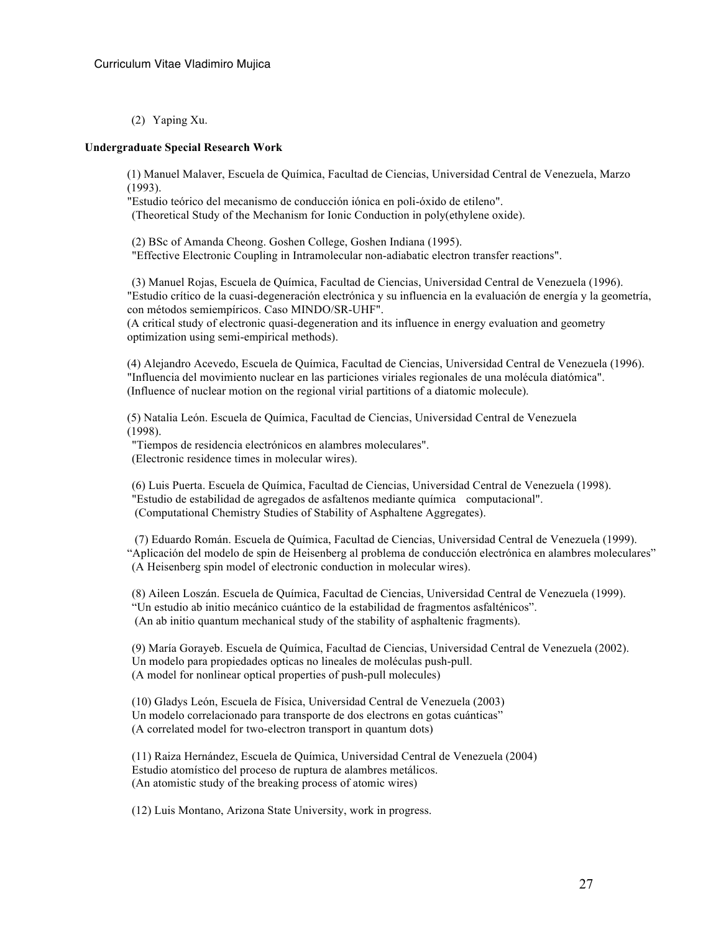(2) Yaping Xu.

#### **Undergraduate Special Research Work**

(1) Manuel Malaver, Escuela de Química, Facultad de Ciencias, Universidad Central de Venezuela, Marzo (1993).

"Estudio teórico del mecanismo de conducción iónica en poli-óxido de etileno". (Theoretical Study of the Mechanism for Ionic Conduction in poly(ethylene oxide).

(2) BSc of Amanda Cheong. Goshen College, Goshen Indiana (1995). "Effective Electronic Coupling in Intramolecular non-adiabatic electron transfer reactions".

(3) Manuel Rojas, Escuela de Química, Facultad de Ciencias, Universidad Central de Venezuela (1996). "Estudio crítico de la cuasi-degeneración electrónica y su influencia en la evaluación de energía y la geometría, con métodos semiempíricos. Caso MINDO/SR-UHF".

(A critical study of electronic quasi-degeneration and its influence in energy evaluation and geometry optimization using semi-empirical methods).

(4) Alejandro Acevedo, Escuela de Química, Facultad de Ciencias, Universidad Central de Venezuela (1996). "Influencia del movimiento nuclear en las particiones viriales regionales de una molécula diatómica". (Influence of nuclear motion on the regional virial partitions of a diatomic molecule).

(5) Natalia León. Escuela de Química, Facultad de Ciencias, Universidad Central de Venezuela (1998).

"Tiempos de residencia electrónicos en alambres moleculares". (Electronic residence times in molecular wires).

(6) Luis Puerta. Escuela de Química, Facultad de Ciencias, Universidad Central de Venezuela (1998). "Estudio de estabilidad de agregados de asfaltenos mediante química computacional". (Computational Chemistry Studies of Stability of Asphaltene Aggregates).

(7) Eduardo Román. Escuela de Química, Facultad de Ciencias, Universidad Central de Venezuela (1999). "Aplicación del modelo de spin de Heisenberg al problema de conducción electrónica en alambres moleculares" (A Heisenberg spin model of electronic conduction in molecular wires).

(8) Aileen Loszán. Escuela de Química, Facultad de Ciencias, Universidad Central de Venezuela (1999). "Un estudio ab initio mecánico cuántico de la estabilidad de fragmentos asfalténicos". (An ab initio quantum mechanical study of the stability of asphaltenic fragments).

(9) María Gorayeb. Escuela de Química, Facultad de Ciencias, Universidad Central de Venezuela (2002). Un modelo para propiedades opticas no lineales de moléculas push-pull. (A model for nonlinear optical properties of push-pull molecules)

(10) Gladys León, Escuela de Física, Universidad Central de Venezuela (2003) Un modelo correlacionado para transporte de dos electrons en gotas cuánticas" (A correlated model for two-electron transport in quantum dots)

(11) Raiza Hernández, Escuela de Química, Universidad Central de Venezuela (2004) Estudio atomístico del proceso de ruptura de alambres metálicos. (An atomistic study of the breaking process of atomic wires)

(12) Luis Montano, Arizona State University, work in progress.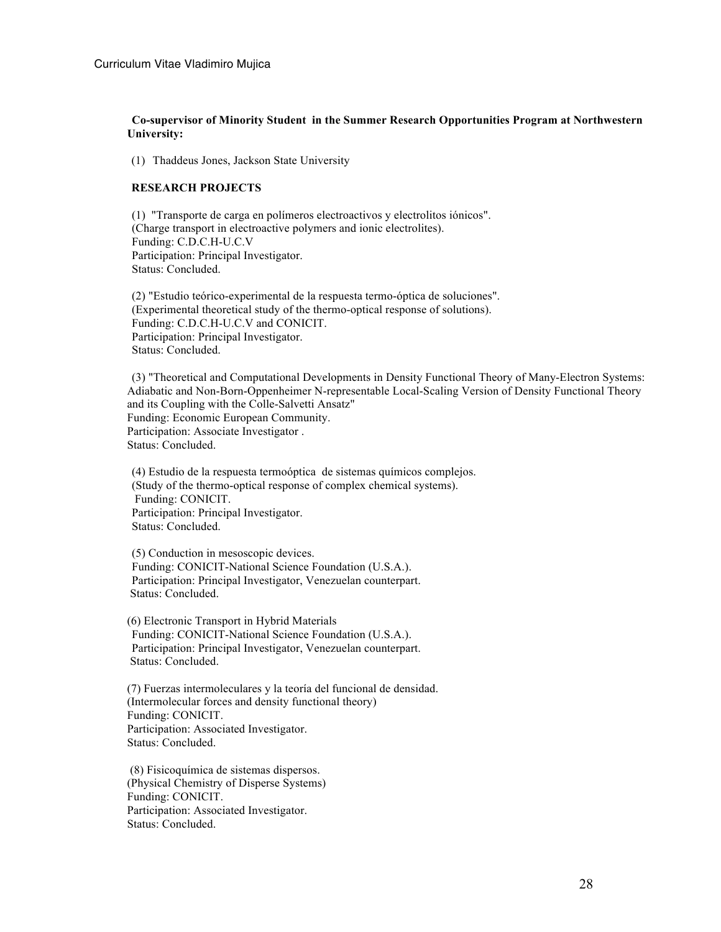## **Co-supervisor of Minority Student in the Summer Research Opportunities Program at Northwestern University:**

(1) Thaddeus Jones, Jackson State University

## **RESEARCH PROJECTS**

(1) "Transporte de carga en polímeros electroactivos y electrolitos iónicos". (Charge transport in electroactive polymers and ionic electrolites). Funding: C.D.C.H-U.C.V Participation: Principal Investigator. Status: Concluded.

(2) "Estudio teórico-experimental de la respuesta termo-óptica de soluciones". (Experimental theoretical study of the thermo-optical response of solutions). Funding: C.D.C.H-U.C.V and CONICIT. Participation: Principal Investigator. Status: Concluded.

(3) "Theoretical and Computational Developments in Density Functional Theory of Many-Electron Systems: Adiabatic and Non-Born-Oppenheimer N-representable Local-Scaling Version of Density Functional Theory and its Coupling with the Colle-Salvetti Ansatz" Funding: Economic European Community. Participation: Associate Investigator . Status: Concluded.

(4) Estudio de la respuesta termoóptica de sistemas químicos complejos. (Study of the thermo-optical response of complex chemical systems). Funding: CONICIT. Participation: Principal Investigator. Status: Concluded.

(5) Conduction in mesoscopic devices. Funding: CONICIT-National Science Foundation (U.S.A.). Participation: Principal Investigator, Venezuelan counterpart. Status: Concluded.

(6) Electronic Transport in Hybrid Materials Funding: CONICIT-National Science Foundation (U.S.A.). Participation: Principal Investigator, Venezuelan counterpart. Status: Concluded.

(7) Fuerzas intermoleculares y la teoría del funcional de densidad. (Intermolecular forces and density functional theory) Funding: CONICIT. Participation: Associated Investigator. Status: Concluded.

(8) Fisicoquímica de sistemas dispersos. (Physical Chemistry of Disperse Systems) Funding: CONICIT. Participation: Associated Investigator. Status: Concluded.